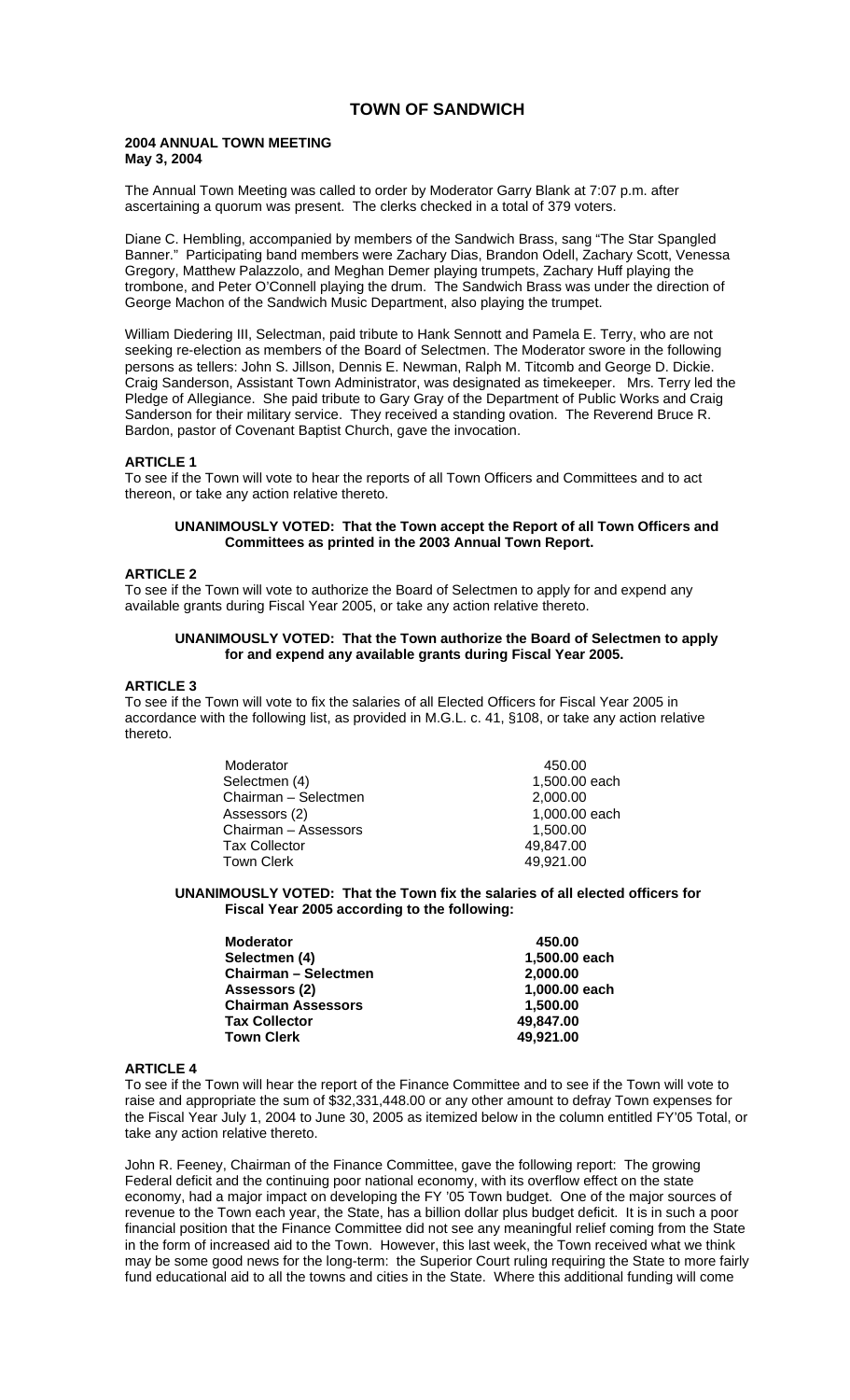# **TOWN OF SANDWICH**

### **2004 ANNUAL TOWN MEETING May 3, 2004**

The Annual Town Meeting was called to order by Moderator Garry Blank at 7:07 p.m. after ascertaining a quorum was present. The clerks checked in a total of 379 voters.

Diane C. Hembling, accompanied by members of the Sandwich Brass, sang "The Star Spangled Banner." Participating band members were Zachary Dias, Brandon Odell, Zachary Scott, Venessa Gregory, Matthew Palazzolo, and Meghan Demer playing trumpets, Zachary Huff playing the trombone, and Peter O'Connell playing the drum. The Sandwich Brass was under the direction of George Machon of the Sandwich Music Department, also playing the trumpet.

William Diedering III, Selectman, paid tribute to Hank Sennott and Pamela E. Terry, who are not seeking re-election as members of the Board of Selectmen. The Moderator swore in the following persons as tellers: John S. Jillson, Dennis E. Newman, Ralph M. Titcomb and George D. Dickie. Craig Sanderson, Assistant Town Administrator, was designated as timekeeper. Mrs. Terry led the Pledge of Allegiance. She paid tribute to Gary Gray of the Department of Public Works and Craig Sanderson for their military service. They received a standing ovation. The Reverend Bruce R. Bardon, pastor of Covenant Baptist Church, gave the invocation.

### **ARTICLE 1**

To see if the Town will vote to hear the reports of all Town Officers and Committees and to act thereon, or take any action relative thereto.

### **UNANIMOUSLY VOTED: That the Town accept the Report of all Town Officers and Committees as printed in the 2003 Annual Town Report.**

### **ARTICLE 2**

To see if the Town will vote to authorize the Board of Selectmen to apply for and expend any available grants during Fiscal Year 2005, or take any action relative thereto.

#### **UNANIMOUSLY VOTED: That the Town authorize the Board of Selectmen to apply for and expend any available grants during Fiscal Year 2005.**

#### **ARTICLE 3**

To see if the Town will vote to fix the salaries of all Elected Officers for Fiscal Year 2005 in accordance with the following list, as provided in M.G.L. c. 41, §108, or take any action relative thereto.

| Moderator            | 450.00        |
|----------------------|---------------|
| Selectmen (4)        | 1,500.00 each |
| Chairman - Selectmen | 2,000.00      |
| Assessors (2)        | 1,000.00 each |
| Chairman - Assessors | 1,500.00      |
| <b>Tax Collector</b> | 49,847.00     |
| Town Clerk           | 49,921.00     |

#### **UNANIMOUSLY VOTED: That the Town fix the salaries of all elected officers for Fiscal Year 2005 according to the following:**

| <b>Moderator</b>            | 450.00        |
|-----------------------------|---------------|
| Selectmen (4)               | 1,500.00 each |
| <b>Chairman - Selectmen</b> | 2,000.00      |
| Assessors (2)               | 1,000.00 each |
| <b>Chairman Assessors</b>   | 1.500.00      |
| <b>Tax Collector</b>        | 49.847.00     |
| <b>Town Clerk</b>           | 49,921.00     |

#### **ARTICLE 4**

To see if the Town will hear the report of the Finance Committee and to see if the Town will vote to raise and appropriate the sum of \$32,331,448.00 or any other amount to defray Town expenses for the Fiscal Year July 1, 2004 to June 30, 2005 as itemized below in the column entitled FY'05 Total, or take any action relative thereto.

John R. Feeney, Chairman of the Finance Committee, gave the following report: The growing Federal deficit and the continuing poor national economy, with its overflow effect on the state economy, had a major impact on developing the FY '05 Town budget. One of the major sources of revenue to the Town each year, the State, has a billion dollar plus budget deficit. It is in such a poor financial position that the Finance Committee did not see any meaningful relief coming from the State in the form of increased aid to the Town. However, this last week, the Town received what we think may be some good news for the long-term: the Superior Court ruling requiring the State to more fairly fund educational aid to all the towns and cities in the State. Where this additional funding will come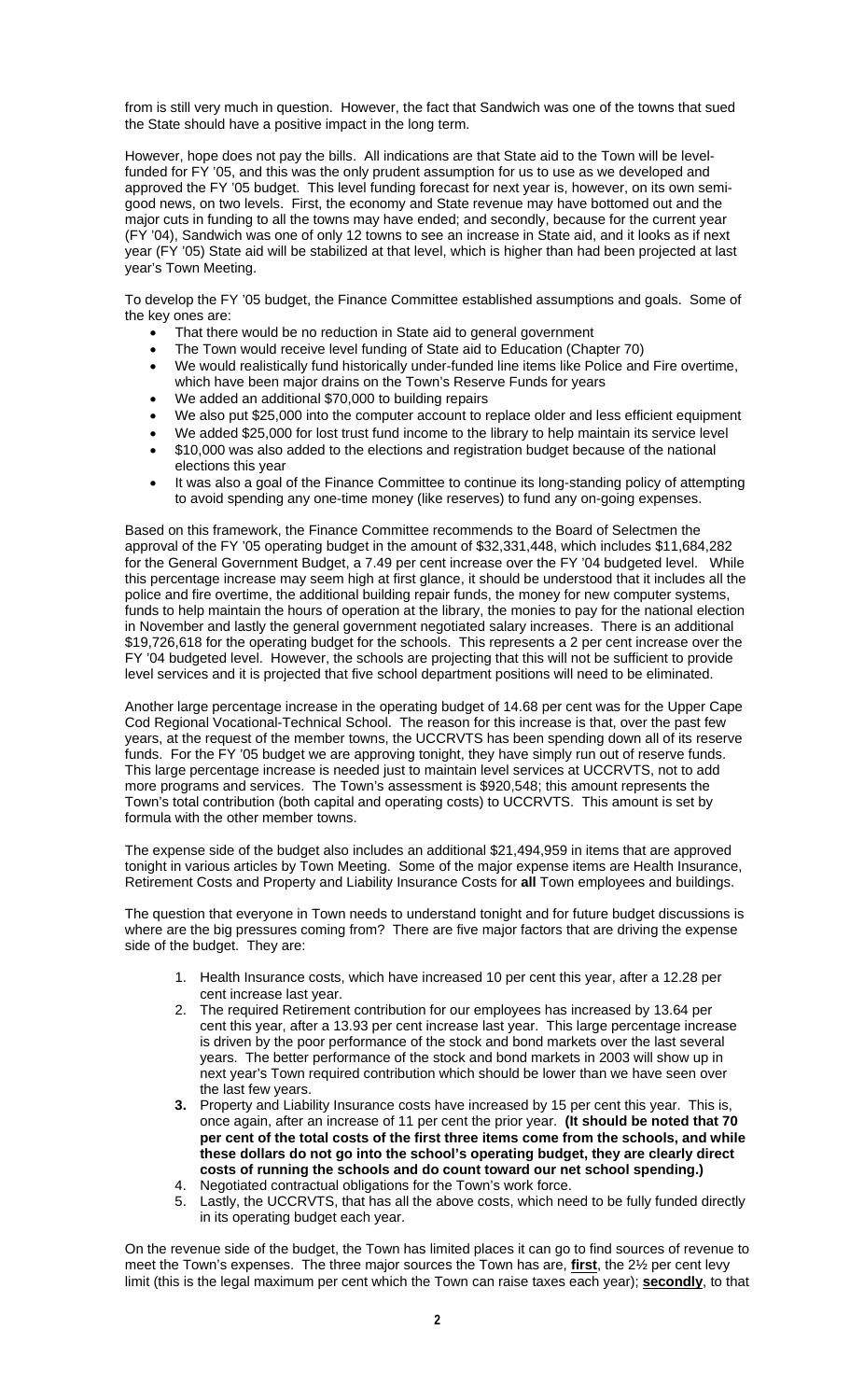from is still very much in question. However, the fact that Sandwich was one of the towns that sued the State should have a positive impact in the long term.

However, hope does not pay the bills. All indications are that State aid to the Town will be levelfunded for FY '05, and this was the only prudent assumption for us to use as we developed and approved the FY '05 budget. This level funding forecast for next year is, however, on its own semigood news, on two levels. First, the economy and State revenue may have bottomed out and the major cuts in funding to all the towns may have ended; and secondly, because for the current year (FY '04), Sandwich was one of only 12 towns to see an increase in State aid, and it looks as if next year (FY '05) State aid will be stabilized at that level, which is higher than had been projected at last year's Town Meeting.

To develop the FY '05 budget, the Finance Committee established assumptions and goals. Some of the key ones are:

- That there would be no reduction in State aid to general government
- The Town would receive level funding of State aid to Education (Chapter 70)
- We would realistically fund historically under-funded line items like Police and Fire overtime, which have been major drains on the Town's Reserve Funds for years
- We added an additional \$70,000 to building repairs
- We also put \$25,000 into the computer account to replace older and less efficient equipment
- We added \$25,000 for lost trust fund income to the library to help maintain its service level • \$10,000 was also added to the elections and registration budget because of the national
- elections this year
- It was also a goal of the Finance Committee to continue its long-standing policy of attempting to avoid spending any one-time money (like reserves) to fund any on-going expenses.

Based on this framework, the Finance Committee recommends to the Board of Selectmen the approval of the FY '05 operating budget in the amount of \$32,331,448, which includes \$11,684,282 for the General Government Budget, a 7.49 per cent increase over the FY '04 budgeted level. While this percentage increase may seem high at first glance, it should be understood that it includes all the police and fire overtime, the additional building repair funds, the money for new computer systems, funds to help maintain the hours of operation at the library, the monies to pay for the national election in November and lastly the general government negotiated salary increases. There is an additional \$19,726,618 for the operating budget for the schools. This represents a 2 per cent increase over the FY '04 budgeted level. However, the schools are projecting that this will not be sufficient to provide level services and it is projected that five school department positions will need to be eliminated.

Another large percentage increase in the operating budget of 14.68 per cent was for the Upper Cape Cod Regional Vocational-Technical School. The reason for this increase is that, over the past few years, at the request of the member towns, the UCCRVTS has been spending down all of its reserve funds. For the FY '05 budget we are approving tonight, they have simply run out of reserve funds. This large percentage increase is needed just to maintain level services at UCCRVTS, not to add more programs and services. The Town's assessment is \$920,548; this amount represents the Town's total contribution (both capital and operating costs) to UCCRVTS. This amount is set by formula with the other member towns.

The expense side of the budget also includes an additional \$21,494,959 in items that are approved tonight in various articles by Town Meeting. Some of the major expense items are Health Insurance, Retirement Costs and Property and Liability Insurance Costs for **all** Town employees and buildings.

The question that everyone in Town needs to understand tonight and for future budget discussions is where are the big pressures coming from? There are five major factors that are driving the expense side of the budget. They are:

- 1. Health Insurance costs, which have increased 10 per cent this year, after a 12.28 per cent increase last year.
- 2. The required Retirement contribution for our employees has increased by 13.64 per cent this year, after a 13.93 per cent increase last year. This large percentage increase is driven by the poor performance of the stock and bond markets over the last several years. The better performance of the stock and bond markets in 2003 will show up in next year's Town required contribution which should be lower than we have seen over the last few years.
- **3.** Property and Liability Insurance costs have increased by 15 per cent this year. This is, once again, after an increase of 11 per cent the prior year. **(It should be noted that 70 per cent of the total costs of the first three items come from the schools, and while these dollars do not go into the school's operating budget, they are clearly direct costs of running the schools and do count toward our net school spending.)**  4. Negotiated contractual obligations for the Town's work force.
- 5. Lastly, the UCCRVTS, that has all the above costs, which need to be fully funded directly in its operating budget each year.

On the revenue side of the budget, the Town has limited places it can go to find sources of revenue to meet the Town's expenses. The three major sources the Town has are, **first**, the 2½ per cent levy limit (this is the legal maximum per cent which the Town can raise taxes each year); **secondly**, to that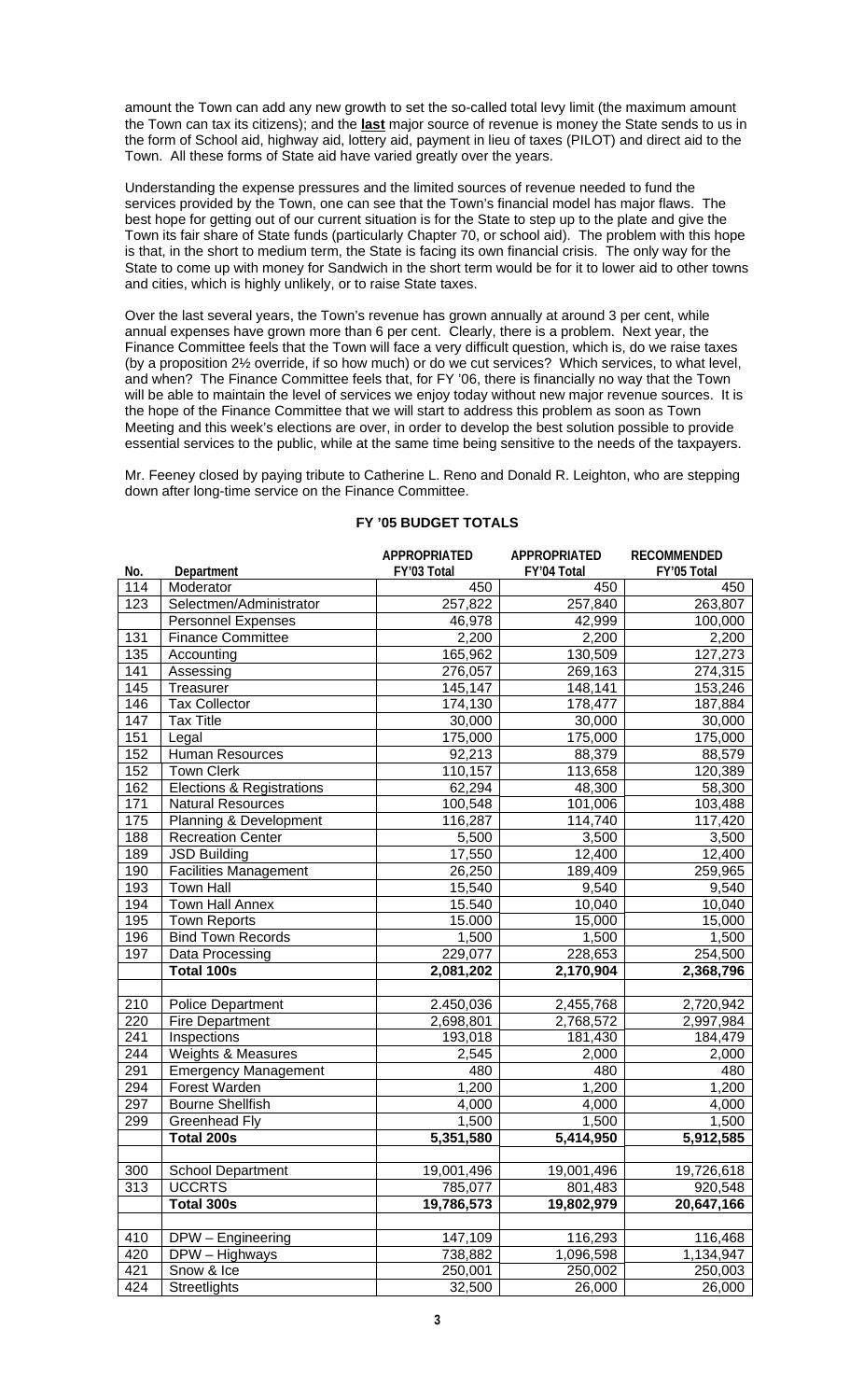amount the Town can add any new growth to set the so-called total levy limit (the maximum amount the Town can tax its citizens); and the **last** major source of revenue is money the State sends to us in the form of School aid, highway aid, lottery aid, payment in lieu of taxes (PILOT) and direct aid to the Town. All these forms of State aid have varied greatly over the years.

Understanding the expense pressures and the limited sources of revenue needed to fund the services provided by the Town, one can see that the Town's financial model has major flaws. The best hope for getting out of our current situation is for the State to step up to the plate and give the Town its fair share of State funds (particularly Chapter 70, or school aid). The problem with this hope is that, in the short to medium term, the State is facing its own financial crisis. The only way for the State to come up with money for Sandwich in the short term would be for it to lower aid to other towns and cities, which is highly unlikely, or to raise State taxes.

Over the last several years, the Town's revenue has grown annually at around 3 per cent, while annual expenses have grown more than 6 per cent. Clearly, there is a problem. Next year, the Finance Committee feels that the Town will face a very difficult question, which is, do we raise taxes (by a proposition 2½ override, if so how much) or do we cut services? Which services, to what level, and when? The Finance Committee feels that, for FY '06, there is financially no way that the Town will be able to maintain the level of services we enjoy today without new major revenue sources. It is the hope of the Finance Committee that we will start to address this problem as soon as Town Meeting and this week's elections are over, in order to develop the best solution possible to provide essential services to the public, while at the same time being sensitive to the needs of the taxpayers.

Mr. Feeney closed by paying tribute to Catherine L. Reno and Donald R. Leighton, who are stepping down after long-time service on the Finance Committee.

|     |                              | APPROPRIATED | <b>APPROPRIATED</b> | <b>RECOMMENDED</b> |
|-----|------------------------------|--------------|---------------------|--------------------|
| No. | Department                   | FY'03 Total  | FY'04 Total         | FY'05 Total        |
| 114 | Moderator                    | 450          | 450                 | 450                |
| 123 | Selectmen/Administrator      | 257,822      | 257,840             | 263,807            |
|     | <b>Personnel Expenses</b>    | 46,978       | 42,999              | 100,000            |
| 131 | <b>Finance Committee</b>     | 2,200        | 2,200               | 2,200              |
| 135 | Accounting                   | 165,962      | 130,509             | 127,273            |
| 141 | Assessing                    | 276,057      | 269,163             | 274,315            |
| 145 | Treasurer                    | 145,147      | 148,141             | 153,246            |
| 146 | <b>Tax Collector</b>         | 174,130      | 178,477             | 187,884            |
| 147 | <b>Tax Title</b>             | 30,000       | 30,000              | 30,000             |
| 151 | Legal                        | 175,000      | 175,000             | 175,000            |
| 152 | <b>Human Resources</b>       | 92,213       | 88,379              | 88,579             |
| 152 | <b>Town Clerk</b>            | 110,157      | 113,658             | 120,389            |
| 162 | Elections & Registrations    | 62,294       | 48,300              | 58,300             |
| 171 | <b>Natural Resources</b>     | 100,548      | 101,006             | 103,488            |
| 175 | Planning & Development       | 116,287      | 114,740             | 117,420            |
| 188 | <b>Recreation Center</b>     | 5,500        | 3,500               | 3,500              |
| 189 | <b>JSD Building</b>          | 17,550       | 12,400              | 12,400             |
| 190 | <b>Facilities Management</b> | 26,250       | 189,409             | 259,965            |
| 193 | <b>Town Hall</b>             | 15,540       | 9,540               | 9,540              |
| 194 | <b>Town Hall Annex</b>       | 15.540       | 10,040              | 10,040             |
| 195 | <b>Town Reports</b>          | 15.000       | 15,000              | 15,000             |
| 196 | <b>Bind Town Records</b>     | 1,500        | 1,500               | 1,500              |
| 197 | Data Processing              | 229,077      | 228,653             | 254,500            |
|     | Total 100s                   | 2,081,202    | 2,170,904           | 2,368,796          |
|     |                              |              |                     |                    |
| 210 | <b>Police Department</b>     | 2.450,036    | 2,455,768           | 2,720,942          |
| 220 | <b>Fire Department</b>       | 2,698,801    | 2,768,572           | 2,997,984          |
| 241 | Inspections                  | 193,018      | 181,430             | 184,479            |
| 244 | Weights & Measures           | 2,545        | 2,000               | 2,000              |
| 291 | <b>Emergency Management</b>  | 480          | 480                 | 480                |
| 294 | Forest Warden                | 1,200        | 1,200               | 1,200              |
| 297 | <b>Bourne Shellfish</b>      | 4,000        | 4,000               | 4,000              |
| 299 | Greenhead Fly                | 1,500        | 1,500               | 1,500              |
|     | Total 200s                   | 5,351,580    | 5,414,950           | 5,912,585          |
|     |                              |              |                     |                    |
| 300 | <b>School Department</b>     | 19,001,496   | 19,001,496          | 19,726,618         |
| 313 | <b>UCCRTS</b>                | 785,077      | 801,483             | 920,548            |
|     | Total 300s                   | 19,786,573   | 19,802,979          | 20,647,166         |
|     |                              |              |                     |                    |
| 410 | DPW - Engineering            | 147,109      | 116,293             | 116,468            |
| 420 | DPW - Highways               | 738,882      | 1,096,598           | 1,134,947          |
| 421 | Snow & Ice                   | 250,001      | 250,002             | 250,003            |
| 424 | Streetlights                 | 32,500       | 26,000              | 26,000             |

# **FY '05 BUDGET TOTALS**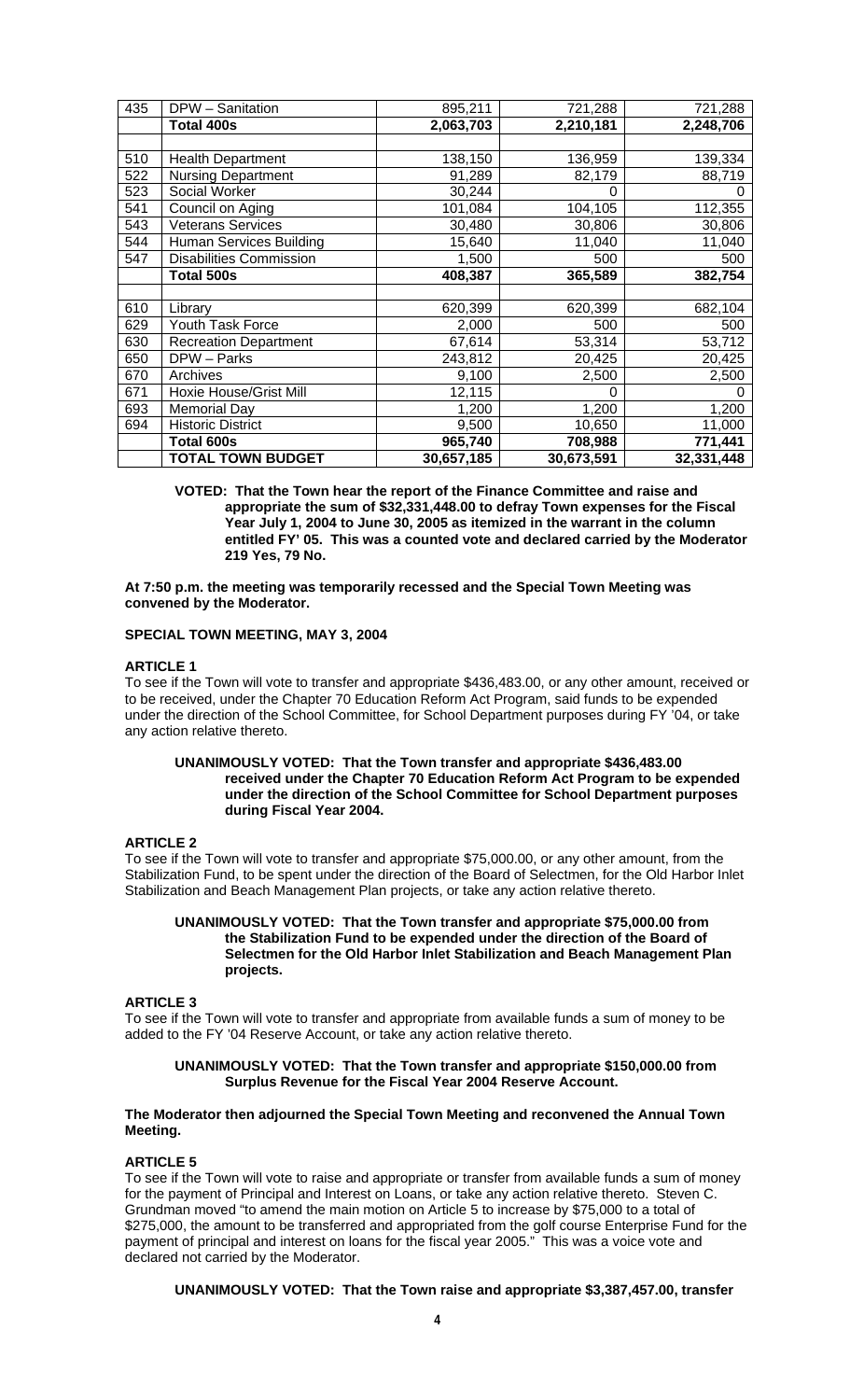| 435 | DPW - Sanitation               | 895,211    | 721,288    | 721,288    |
|-----|--------------------------------|------------|------------|------------|
|     | <b>Total 400s</b>              | 2,063,703  | 2,210,181  | 2,248,706  |
|     |                                |            |            |            |
| 510 | <b>Health Department</b>       | 138,150    | 136,959    | 139,334    |
| 522 | <b>Nursing Department</b>      | 91,289     | 82,179     | 88,719     |
| 523 | Social Worker                  | 30,244     | 0          |            |
| 541 | Council on Aging               | 101,084    | 104,105    | 112,355    |
| 543 | <b>Veterans Services</b>       | 30,480     | 30,806     | 30,806     |
| 544 | Human Services Building        | 15,640     | 11,040     | 11,040     |
| 547 | <b>Disabilities Commission</b> | 1,500      | 500        | 500        |
|     | <b>Total 500s</b>              | 408,387    | 365,589    | 382,754    |
|     |                                |            |            |            |
| 610 | Library                        | 620,399    | 620,399    | 682,104    |
| 629 | Youth Task Force               | 2,000      | 500        | 500        |
| 630 | <b>Recreation Department</b>   | 67,614     | 53,314     | 53,712     |
| 650 | DPW - Parks                    | 243,812    | 20,425     | 20,425     |
| 670 | Archives                       | 9,100      | 2,500      | 2,500      |
| 671 | Hoxie House/Grist Mill         | 12,115     | 0          | O          |
| 693 | <b>Memorial Day</b>            | 1,200      | 1,200      | 1,200      |
| 694 | <b>Historic District</b>       | 9,500      | 10,650     | 11,000     |
|     | Total 600s                     | 965,740    | 708,988    | 771,441    |
|     | <b>TOTAL TOWN BUDGET</b>       | 30,657,185 | 30,673,591 | 32,331,448 |

**VOTED: That the Town hear the report of the Finance Committee and raise and appropriate the sum of \$32,331,448.00 to defray Town expenses for the Fiscal Year July 1, 2004 to June 30, 2005 as itemized in the warrant in the column entitled FY' 05. This was a counted vote and declared carried by the Moderator 219 Yes, 79 No.** 

### **At 7:50 p.m. the meeting was temporarily recessed and the Special Town Meeting was convened by the Moderator.**

### **SPECIAL TOWN MEETING, MAY 3, 2004**

#### **ARTICLE 1**

To see if the Town will vote to transfer and appropriate \$436,483.00, or any other amount, received or to be received, under the Chapter 70 Education Reform Act Program, said funds to be expended under the direction of the School Committee, for School Department purposes during FY '04, or take any action relative thereto.

### **UNANIMOUSLY VOTED: That the Town transfer and appropriate \$436,483.00 received under the Chapter 70 Education Reform Act Program to be expended under the direction of the School Committee for School Department purposes during Fiscal Year 2004.**

#### **ARTICLE 2**

To see if the Town will vote to transfer and appropriate \$75,000.00, or any other amount, from the Stabilization Fund, to be spent under the direction of the Board of Selectmen, for the Old Harbor Inlet Stabilization and Beach Management Plan projects, or take any action relative thereto.

#### **UNANIMOUSLY VOTED: That the Town transfer and appropriate \$75,000.00 from the Stabilization Fund to be expended under the direction of the Board of Selectmen for the Old Harbor Inlet Stabilization and Beach Management Plan projects.**

#### **ARTICLE 3**

To see if the Town will vote to transfer and appropriate from available funds a sum of money to be added to the FY '04 Reserve Account, or take any action relative thereto.

### **UNANIMOUSLY VOTED: That the Town transfer and appropriate \$150,000.00 from Surplus Revenue for the Fiscal Year 2004 Reserve Account.**

### **The Moderator then adjourned the Special Town Meeting and reconvened the Annual Town Meeting.**

### **ARTICLE 5**

To see if the Town will vote to raise and appropriate or transfer from available funds a sum of money for the payment of Principal and Interest on Loans, or take any action relative thereto. Steven C. Grundman moved "to amend the main motion on Article 5 to increase by \$75,000 to a total of \$275,000, the amount to be transferred and appropriated from the golf course Enterprise Fund for the payment of principal and interest on loans for the fiscal year 2005." This was a voice vote and declared not carried by the Moderator.

**UNANIMOUSLY VOTED: That the Town raise and appropriate \$3,387,457.00, transfer**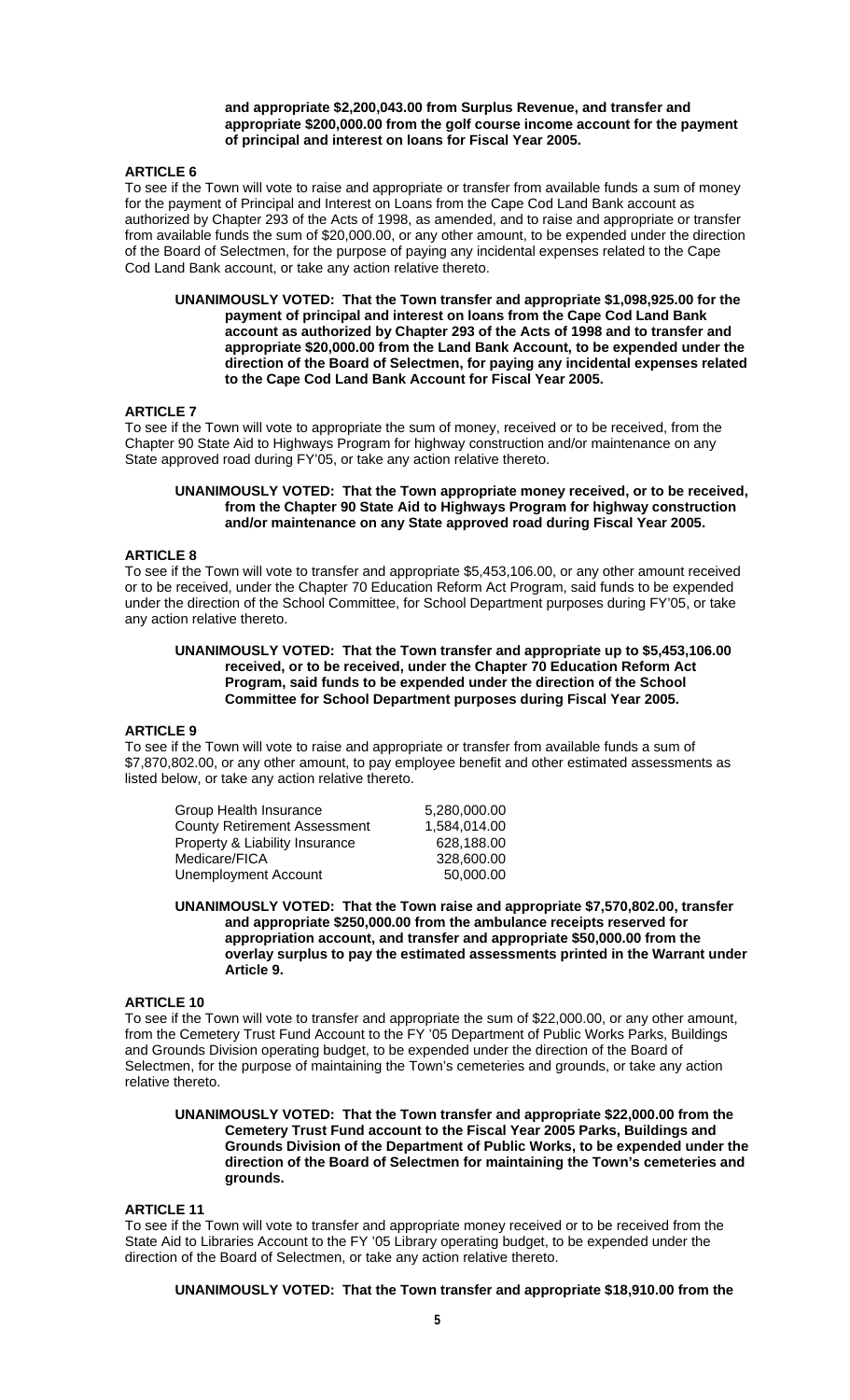**and appropriate \$2,200,043.00 from Surplus Revenue, and transfer and appropriate \$200,000.00 from the golf course income account for the payment of principal and interest on loans for Fiscal Year 2005.** 

### **ARTICLE 6**

To see if the Town will vote to raise and appropriate or transfer from available funds a sum of money for the payment of Principal and Interest on Loans from the Cape Cod Land Bank account as authorized by Chapter 293 of the Acts of 1998, as amended, and to raise and appropriate or transfer from available funds the sum of \$20,000.00, or any other amount, to be expended under the direction of the Board of Selectmen, for the purpose of paying any incidental expenses related to the Cape Cod Land Bank account, or take any action relative thereto.

**UNANIMOUSLY VOTED: That the Town transfer and appropriate \$1,098,925.00 for the payment of principal and interest on loans from the Cape Cod Land Bank account as authorized by Chapter 293 of the Acts of 1998 and to transfer and appropriate \$20,000.00 from the Land Bank Account, to be expended under the direction of the Board of Selectmen, for paying any incidental expenses related to the Cape Cod Land Bank Account for Fiscal Year 2005.** 

### **ARTICLE 7**

To see if the Town will vote to appropriate the sum of money, received or to be received, from the Chapter 90 State Aid to Highways Program for highway construction and/or maintenance on any State approved road during FY'05, or take any action relative thereto.

### **UNANIMOUSLY VOTED: That the Town appropriate money received, or to be received, from the Chapter 90 State Aid to Highways Program for highway construction and/or maintenance on any State approved road during Fiscal Year 2005.**

#### **ARTICLE 8**

To see if the Town will vote to transfer and appropriate \$5,453,106.00, or any other amount received or to be received, under the Chapter 70 Education Reform Act Program, said funds to be expended under the direction of the School Committee, for School Department purposes during FY'05, or take any action relative thereto.

### **UNANIMOUSLY VOTED: That the Town transfer and appropriate up to \$5,453,106.00 received, or to be received, under the Chapter 70 Education Reform Act Program, said funds to be expended under the direction of the School Committee for School Department purposes during Fiscal Year 2005.**

# **ARTICLE 9**

To see if the Town will vote to raise and appropriate or transfer from available funds a sum of \$7,870,802.00, or any other amount, to pay employee benefit and other estimated assessments as listed below, or take any action relative thereto.

| 5.280.000.00 |
|--------------|
| 1,584,014.00 |
| 628,188.00   |
| 328,600.00   |
| 50,000.00    |
|              |

**UNANIMOUSLY VOTED: That the Town raise and appropriate \$7,570,802.00, transfer and appropriate \$250,000.00 from the ambulance receipts reserved for appropriation account, and transfer and appropriate \$50,000.00 from the overlay surplus to pay the estimated assessments printed in the Warrant under Article 9.** 

### **ARTICLE 10**

To see if the Town will vote to transfer and appropriate the sum of \$22,000.00, or any other amount, from the Cemetery Trust Fund Account to the FY '05 Department of Public Works Parks, Buildings and Grounds Division operating budget, to be expended under the direction of the Board of Selectmen, for the purpose of maintaining the Town's cemeteries and grounds, or take any action relative thereto.

**UNANIMOUSLY VOTED: That the Town transfer and appropriate \$22,000.00 from the Cemetery Trust Fund account to the Fiscal Year 2005 Parks, Buildings and Grounds Division of the Department of Public Works, to be expended under the direction of the Board of Selectmen for maintaining the Town's cemeteries and grounds.** 

#### **ARTICLE 11**

To see if the Town will vote to transfer and appropriate money received or to be received from the State Aid to Libraries Account to the FY '05 Library operating budget, to be expended under the direction of the Board of Selectmen, or take any action relative thereto.

**UNANIMOUSLY VOTED: That the Town transfer and appropriate \$18,910.00 from the**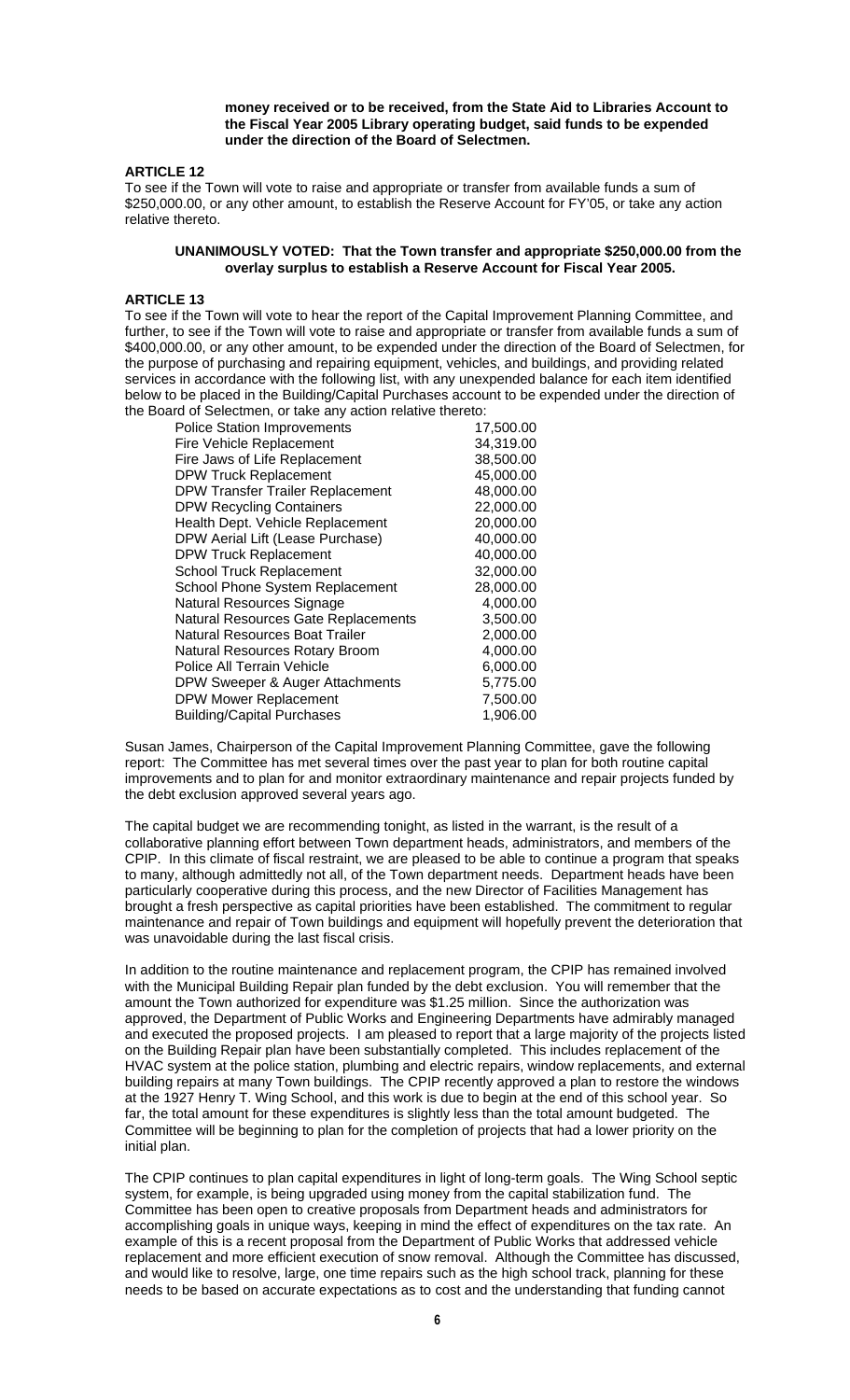**money received or to be received, from the State Aid to Libraries Account to the Fiscal Year 2005 Library operating budget, said funds to be expended under the direction of the Board of Selectmen.** 

### **ARTICLE 12**

To see if the Town will vote to raise and appropriate or transfer from available funds a sum of \$250,000.00, or any other amount, to establish the Reserve Account for FY'05, or take any action relative thereto.

### **UNANIMOUSLY VOTED: That the Town transfer and appropriate \$250,000.00 from the overlay surplus to establish a Reserve Account for Fiscal Year 2005.**

### **ARTICLE 13**

To see if the Town will vote to hear the report of the Capital Improvement Planning Committee, and further, to see if the Town will vote to raise and appropriate or transfer from available funds a sum of \$400,000.00, or any other amount, to be expended under the direction of the Board of Selectmen, for the purpose of purchasing and repairing equipment, vehicles, and buildings, and providing related services in accordance with the following list, with any unexpended balance for each item identified below to be placed in the Building/Capital Purchases account to be expended under the direction of the Board of Selectmen, or take any action relative thereto:

| <b>Police Station Improvements</b>         | 17,500.00 |
|--------------------------------------------|-----------|
| <b>Fire Vehicle Replacement</b>            | 34,319.00 |
| Fire Jaws of Life Replacement              | 38,500.00 |
| <b>DPW Truck Replacement</b>               | 45,000.00 |
| <b>DPW Transfer Trailer Replacement</b>    | 48,000.00 |
| <b>DPW Recycling Containers</b>            | 22,000.00 |
| Health Dept. Vehicle Replacement           | 20,000.00 |
| DPW Aerial Lift (Lease Purchase)           | 40,000.00 |
| <b>DPW Truck Replacement</b>               | 40,000.00 |
| <b>School Truck Replacement</b>            | 32,000.00 |
| School Phone System Replacement            | 28,000.00 |
| Natural Resources Signage                  | 4,000.00  |
| <b>Natural Resources Gate Replacements</b> | 3,500.00  |
| Natural Resources Boat Trailer             | 2,000.00  |
| Natural Resources Rotary Broom             | 4,000.00  |
| Police All Terrain Vehicle                 | 6,000.00  |
| DPW Sweeper & Auger Attachments            | 5,775.00  |
| <b>DPW Mower Replacement</b>               | 7,500.00  |
| <b>Building/Capital Purchases</b>          | 1,906.00  |
|                                            |           |

Susan James, Chairperson of the Capital Improvement Planning Committee, gave the following report: The Committee has met several times over the past year to plan for both routine capital improvements and to plan for and monitor extraordinary maintenance and repair projects funded by the debt exclusion approved several years ago.

The capital budget we are recommending tonight, as listed in the warrant, is the result of a collaborative planning effort between Town department heads, administrators, and members of the CPIP. In this climate of fiscal restraint, we are pleased to be able to continue a program that speaks to many, although admittedly not all, of the Town department needs. Department heads have been particularly cooperative during this process, and the new Director of Facilities Management has brought a fresh perspective as capital priorities have been established. The commitment to regular maintenance and repair of Town buildings and equipment will hopefully prevent the deterioration that was unavoidable during the last fiscal crisis.

In addition to the routine maintenance and replacement program, the CPIP has remained involved with the Municipal Building Repair plan funded by the debt exclusion. You will remember that the amount the Town authorized for expenditure was \$1.25 million. Since the authorization was approved, the Department of Public Works and Engineering Departments have admirably managed and executed the proposed projects. I am pleased to report that a large majority of the projects listed on the Building Repair plan have been substantially completed. This includes replacement of the HVAC system at the police station, plumbing and electric repairs, window replacements, and external building repairs at many Town buildings. The CPIP recently approved a plan to restore the windows at the 1927 Henry T. Wing School, and this work is due to begin at the end of this school year. So far, the total amount for these expenditures is slightly less than the total amount budgeted. The Committee will be beginning to plan for the completion of projects that had a lower priority on the initial plan.

The CPIP continues to plan capital expenditures in light of long-term goals. The Wing School septic system, for example, is being upgraded using money from the capital stabilization fund. The Committee has been open to creative proposals from Department heads and administrators for accomplishing goals in unique ways, keeping in mind the effect of expenditures on the tax rate. An example of this is a recent proposal from the Department of Public Works that addressed vehicle replacement and more efficient execution of snow removal. Although the Committee has discussed, and would like to resolve, large, one time repairs such as the high school track, planning for these needs to be based on accurate expectations as to cost and the understanding that funding cannot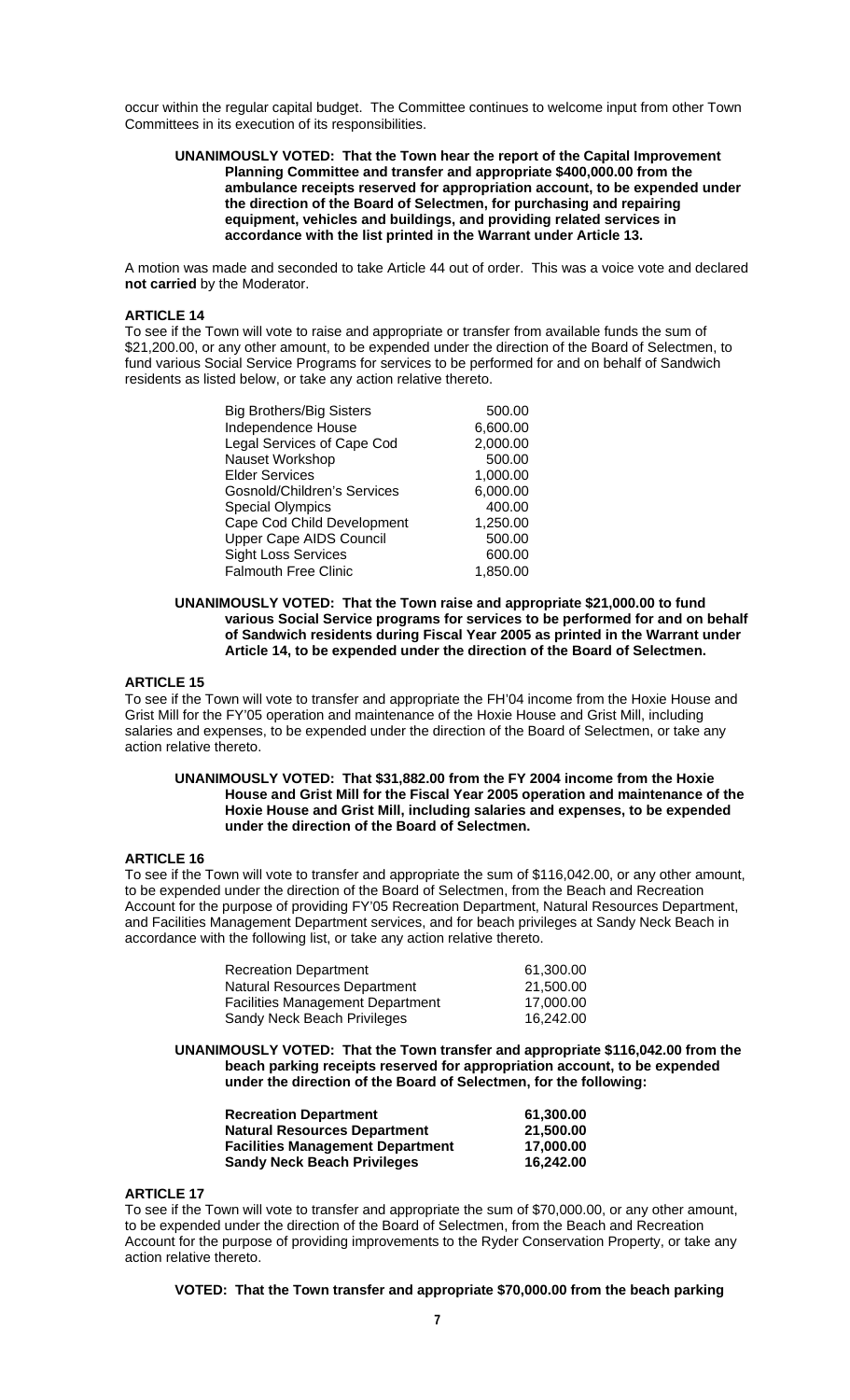occur within the regular capital budget. The Committee continues to welcome input from other Town Committees in its execution of its responsibilities.

#### **UNANIMOUSLY VOTED: That the Town hear the report of the Capital Improvement Planning Committee and transfer and appropriate \$400,000.00 from the ambulance receipts reserved for appropriation account, to be expended under the direction of the Board of Selectmen, for purchasing and repairing equipment, vehicles and buildings, and providing related services in accordance with the list printed in the Warrant under Article 13.**

A motion was made and seconded to take Article 44 out of order. This was a voice vote and declared **not carried** by the Moderator.

# **ARTICLE 14**

To see if the Town will vote to raise and appropriate or transfer from available funds the sum of \$21,200.00, or any other amount, to be expended under the direction of the Board of Selectmen, to fund various Social Service Programs for services to be performed for and on behalf of Sandwich residents as listed below, or take any action relative thereto.

| 500.00   |
|----------|
| 6,600.00 |
| 2,000.00 |
| 500.00   |
| 1,000.00 |
| 6,000.00 |
| 400.00   |
| 1,250.00 |
| 500.00   |
| 600.00   |
| 1,850.00 |
|          |

**UNANIMOUSLY VOTED: That the Town raise and appropriate \$21,000.00 to fund various Social Service programs for services to be performed for and on behalf of Sandwich residents during Fiscal Year 2005 as printed in the Warrant under Article 14, to be expended under the direction of the Board of Selectmen.** 

### **ARTICLE 15**

To see if the Town will vote to transfer and appropriate the FH'04 income from the Hoxie House and Grist Mill for the FY'05 operation and maintenance of the Hoxie House and Grist Mill, including salaries and expenses, to be expended under the direction of the Board of Selectmen, or take any action relative thereto.

#### **UNANIMOUSLY VOTED: That \$31,882.00 from the FY 2004 income from the Hoxie House and Grist Mill for the Fiscal Year 2005 operation and maintenance of the Hoxie House and Grist Mill, including salaries and expenses, to be expended under the direction of the Board of Selectmen.**

### **ARTICLE 16**

To see if the Town will vote to transfer and appropriate the sum of \$116,042.00, or any other amount, to be expended under the direction of the Board of Selectmen, from the Beach and Recreation Account for the purpose of providing FY'05 Recreation Department, Natural Resources Department, and Facilities Management Department services, and for beach privileges at Sandy Neck Beach in accordance with the following list, or take any action relative thereto.

| <b>Recreation Department</b>            | 61.300.00 |
|-----------------------------------------|-----------|
| Natural Resources Department            | 21.500.00 |
| <b>Facilities Management Department</b> | 17.000.00 |
| Sandy Neck Beach Privileges             | 16.242.00 |

**UNANIMOUSLY VOTED: That the Town transfer and appropriate \$116,042.00 from the beach parking receipts reserved for appropriation account, to be expended under the direction of the Board of Selectmen, for the following:** 

| <b>Recreation Department</b>            | 61.300.00 |
|-----------------------------------------|-----------|
| <b>Natural Resources Department</b>     | 21.500.00 |
| <b>Facilities Management Department</b> | 17.000.00 |
| <b>Sandy Neck Beach Privileges</b>      | 16.242.00 |

#### **ARTICLE 17**

To see if the Town will vote to transfer and appropriate the sum of \$70,000.00, or any other amount, to be expended under the direction of the Board of Selectmen, from the Beach and Recreation Account for the purpose of providing improvements to the Ryder Conservation Property, or take any action relative thereto.

**VOTED: That the Town transfer and appropriate \$70,000.00 from the beach parking**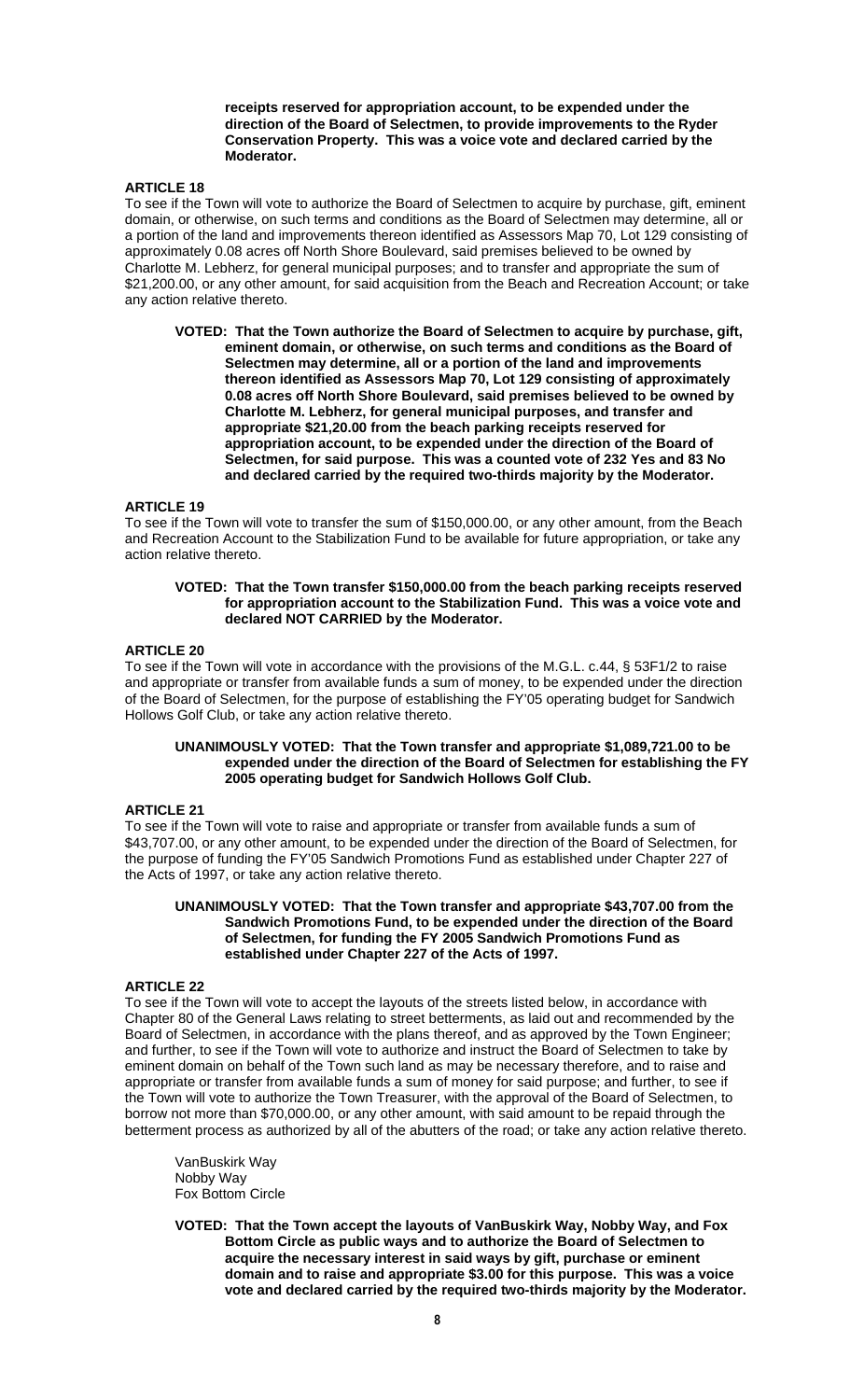**receipts reserved for appropriation account, to be expended under the direction of the Board of Selectmen, to provide improvements to the Ryder Conservation Property. This was a voice vote and declared carried by the Moderator.** 

### **ARTICLE 18**

To see if the Town will vote to authorize the Board of Selectmen to acquire by purchase, gift, eminent domain, or otherwise, on such terms and conditions as the Board of Selectmen may determine, all or a portion of the land and improvements thereon identified as Assessors Map 70, Lot 129 consisting of approximately 0.08 acres off North Shore Boulevard, said premises believed to be owned by Charlotte M. Lebherz, for general municipal purposes; and to transfer and appropriate the sum of \$21,200.00, or any other amount, for said acquisition from the Beach and Recreation Account; or take any action relative thereto.

**VOTED: That the Town authorize the Board of Selectmen to acquire by purchase, gift, eminent domain, or otherwise, on such terms and conditions as the Board of Selectmen may determine, all or a portion of the land and improvements thereon identified as Assessors Map 70, Lot 129 consisting of approximately 0.08 acres off North Shore Boulevard, said premises believed to be owned by Charlotte M. Lebherz, for general municipal purposes, and transfer and appropriate \$21,20.00 from the beach parking receipts reserved for appropriation account, to be expended under the direction of the Board of Selectmen, for said purpose. This was a counted vote of 232 Yes and 83 No and declared carried by the required two-thirds majority by the Moderator.** 

#### **ARTICLE 19**

To see if the Town will vote to transfer the sum of \$150,000.00, or any other amount, from the Beach and Recreation Account to the Stabilization Fund to be available for future appropriation, or take any action relative thereto.

#### **VOTED: That the Town transfer \$150,000.00 from the beach parking receipts reserved for appropriation account to the Stabilization Fund. This was a voice vote and declared NOT CARRIED by the Moderator.**

# **ARTICLE 20**

To see if the Town will vote in accordance with the provisions of the M.G.L. c.44, § 53F1/2 to raise and appropriate or transfer from available funds a sum of money, to be expended under the direction of the Board of Selectmen, for the purpose of establishing the FY'05 operating budget for Sandwich Hollows Golf Club, or take any action relative thereto.

#### **UNANIMOUSLY VOTED: That the Town transfer and appropriate \$1,089,721.00 to be expended under the direction of the Board of Selectmen for establishing the FY 2005 operating budget for Sandwich Hollows Golf Club.**

#### **ARTICLE 21**

To see if the Town will vote to raise and appropriate or transfer from available funds a sum of \$43,707.00, or any other amount, to be expended under the direction of the Board of Selectmen, for the purpose of funding the FY'05 Sandwich Promotions Fund as established under Chapter 227 of the Acts of 1997, or take any action relative thereto.

#### **UNANIMOUSLY VOTED: That the Town transfer and appropriate \$43,707.00 from the Sandwich Promotions Fund, to be expended under the direction of the Board of Selectmen, for funding the FY 2005 Sandwich Promotions Fund as established under Chapter 227 of the Acts of 1997.**

### **ARTICLE 22**

To see if the Town will vote to accept the layouts of the streets listed below, in accordance with Chapter 80 of the General Laws relating to street betterments, as laid out and recommended by the Board of Selectmen, in accordance with the plans thereof, and as approved by the Town Engineer; and further, to see if the Town will vote to authorize and instruct the Board of Selectmen to take by eminent domain on behalf of the Town such land as may be necessary therefore, and to raise and appropriate or transfer from available funds a sum of money for said purpose; and further, to see if the Town will vote to authorize the Town Treasurer, with the approval of the Board of Selectmen, to borrow not more than \$70,000.00, or any other amount, with said amount to be repaid through the betterment process as authorized by all of the abutters of the road; or take any action relative thereto.

 VanBuskirk Way Nobby Way Fox Bottom Circle

**VOTED: That the Town accept the layouts of VanBuskirk Way, Nobby Way, and Fox Bottom Circle as public ways and to authorize the Board of Selectmen to acquire the necessary interest in said ways by gift, purchase or eminent domain and to raise and appropriate \$3.00 for this purpose. This was a voice vote and declared carried by the required two-thirds majority by the Moderator.**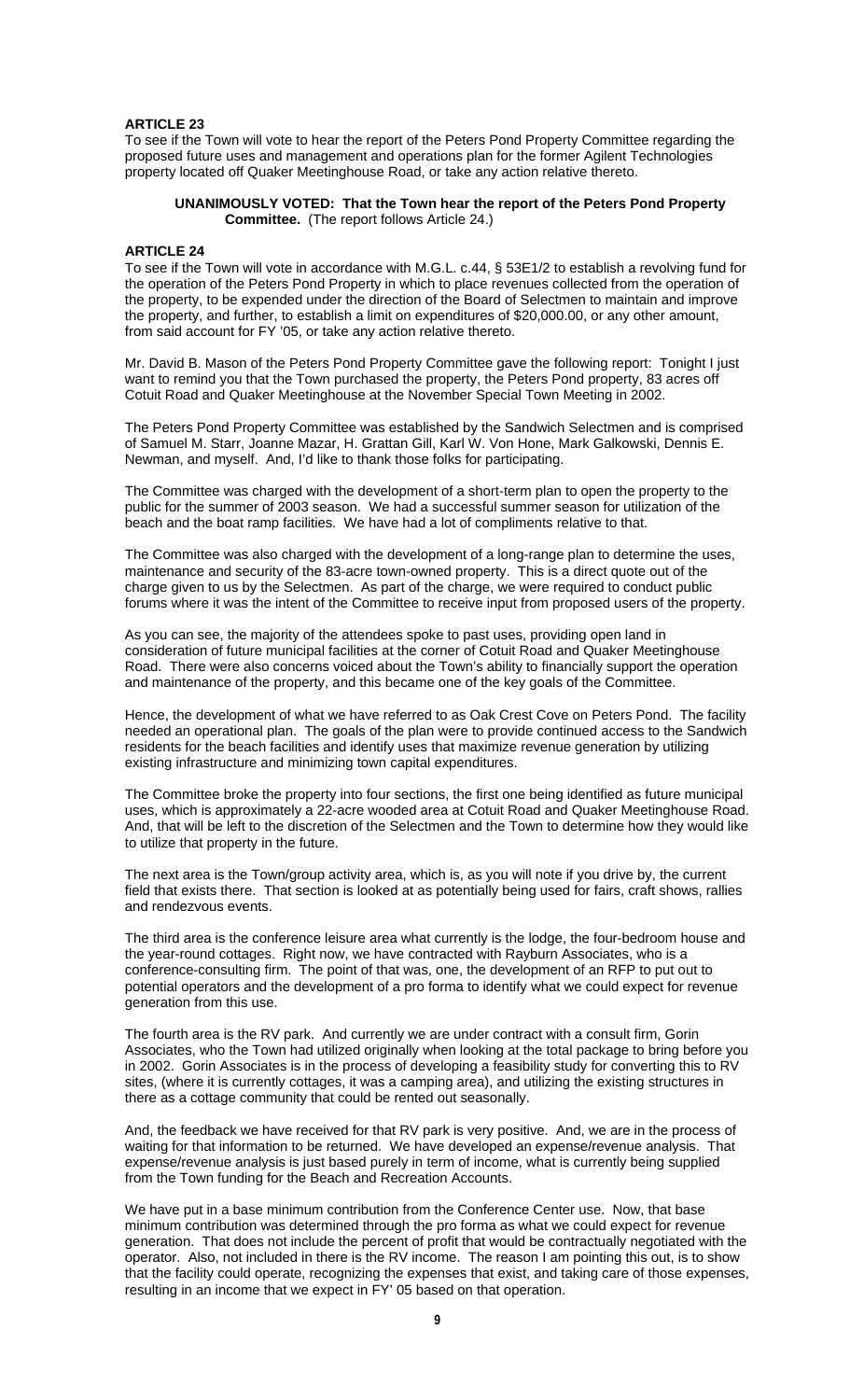### **ARTICLE 23**

To see if the Town will vote to hear the report of the Peters Pond Property Committee regarding the proposed future uses and management and operations plan for the former Agilent Technologies property located off Quaker Meetinghouse Road, or take any action relative thereto.

#### **UNANIMOUSLY VOTED: That the Town hear the report of the Peters Pond Property Committee.** (The report follows Article 24.)

#### **ARTICLE 24**

To see if the Town will vote in accordance with M.G.L. c.44, § 53E1/2 to establish a revolving fund for the operation of the Peters Pond Property in which to place revenues collected from the operation of the property, to be expended under the direction of the Board of Selectmen to maintain and improve the property, and further, to establish a limit on expenditures of \$20,000.00, or any other amount, from said account for FY '05, or take any action relative thereto.

Mr. David B. Mason of the Peters Pond Property Committee gave the following report: Tonight I just want to remind you that the Town purchased the property, the Peters Pond property, 83 acres off Cotuit Road and Quaker Meetinghouse at the November Special Town Meeting in 2002.

The Peters Pond Property Committee was established by the Sandwich Selectmen and is comprised of Samuel M. Starr, Joanne Mazar, H. Grattan Gill, Karl W. Von Hone, Mark Galkowski, Dennis E. Newman, and myself. And, I'd like to thank those folks for participating.

The Committee was charged with the development of a short-term plan to open the property to the public for the summer of 2003 season. We had a successful summer season for utilization of the beach and the boat ramp facilities. We have had a lot of compliments relative to that.

The Committee was also charged with the development of a long-range plan to determine the uses, maintenance and security of the 83-acre town-owned property. This is a direct quote out of the charge given to us by the Selectmen. As part of the charge, we were required to conduct public forums where it was the intent of the Committee to receive input from proposed users of the property.

As you can see, the majority of the attendees spoke to past uses, providing open land in consideration of future municipal facilities at the corner of Cotuit Road and Quaker Meetinghouse Road. There were also concerns voiced about the Town's ability to financially support the operation and maintenance of the property, and this became one of the key goals of the Committee.

Hence, the development of what we have referred to as Oak Crest Cove on Peters Pond. The facility needed an operational plan. The goals of the plan were to provide continued access to the Sandwich residents for the beach facilities and identify uses that maximize revenue generation by utilizing existing infrastructure and minimizing town capital expenditures.

The Committee broke the property into four sections, the first one being identified as future municipal uses, which is approximately a 22-acre wooded area at Cotuit Road and Quaker Meetinghouse Road. And, that will be left to the discretion of the Selectmen and the Town to determine how they would like to utilize that property in the future.

The next area is the Town/group activity area, which is, as you will note if you drive by, the current field that exists there. That section is looked at as potentially being used for fairs, craft shows, rallies and rendezvous events.

The third area is the conference leisure area what currently is the lodge, the four-bedroom house and the year-round cottages. Right now, we have contracted with Rayburn Associates, who is a conference-consulting firm. The point of that was, one, the development of an RFP to put out to potential operators and the development of a pro forma to identify what we could expect for revenue generation from this use.

The fourth area is the RV park. And currently we are under contract with a consult firm, Gorin Associates, who the Town had utilized originally when looking at the total package to bring before you in 2002. Gorin Associates is in the process of developing a feasibility study for converting this to RV sites, (where it is currently cottages, it was a camping area), and utilizing the existing structures in there as a cottage community that could be rented out seasonally.

And, the feedback we have received for that RV park is very positive. And, we are in the process of waiting for that information to be returned. We have developed an expense/revenue analysis. That expense/revenue analysis is just based purely in term of income, what is currently being supplied from the Town funding for the Beach and Recreation Accounts.

We have put in a base minimum contribution from the Conference Center use. Now, that base minimum contribution was determined through the pro forma as what we could expect for revenue generation. That does not include the percent of profit that would be contractually negotiated with the operator. Also, not included in there is the RV income. The reason I am pointing this out, is to show that the facility could operate, recognizing the expenses that exist, and taking care of those expenses, resulting in an income that we expect in FY' 05 based on that operation.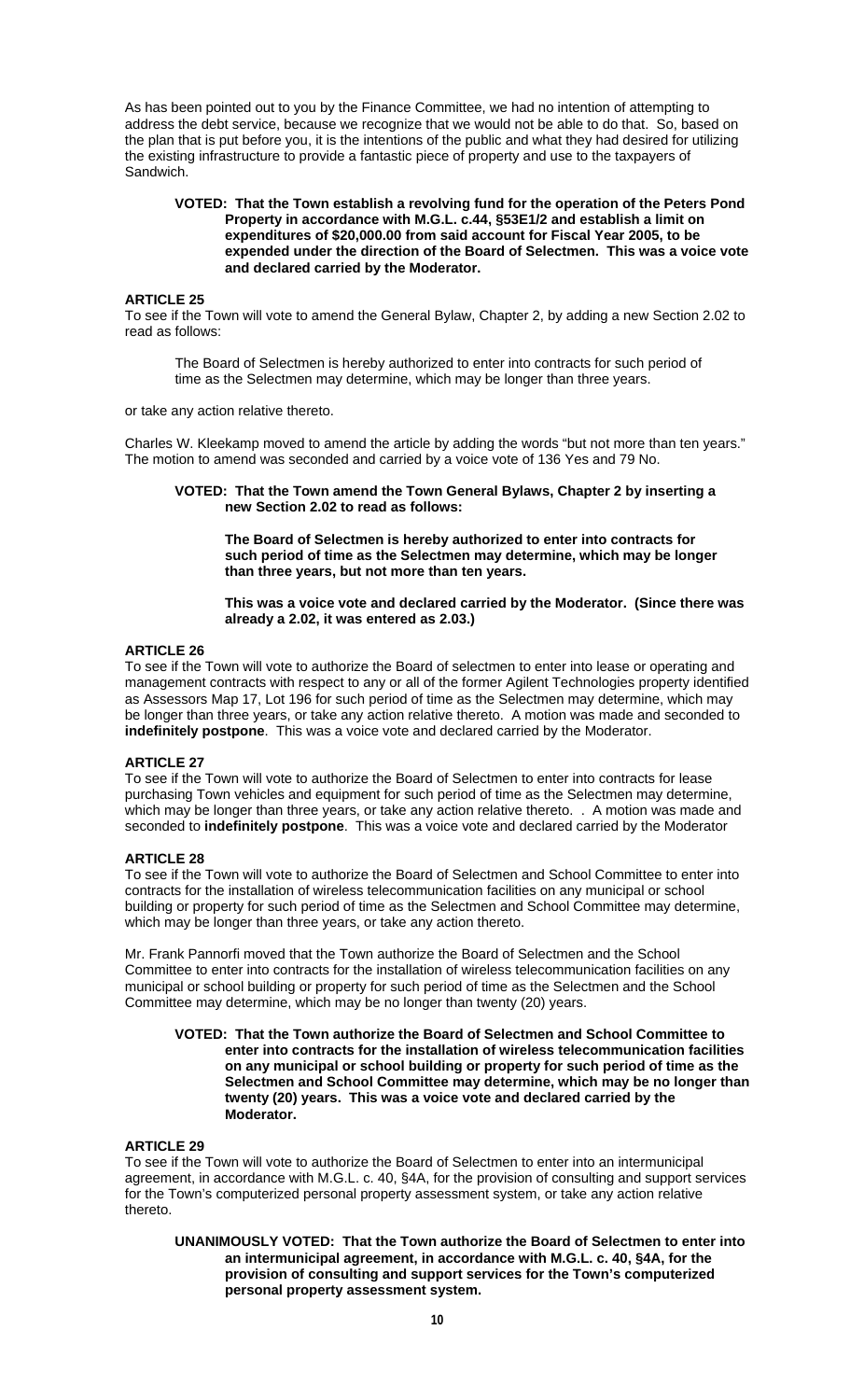As has been pointed out to you by the Finance Committee, we had no intention of attempting to address the debt service, because we recognize that we would not be able to do that. So, based on the plan that is put before you, it is the intentions of the public and what they had desired for utilizing the existing infrastructure to provide a fantastic piece of property and use to the taxpayers of Sandwich.

#### **VOTED: That the Town establish a revolving fund for the operation of the Peters Pond Property in accordance with M.G.L. c.44, §53E1/2 and establish a limit on expenditures of \$20,000.00 from said account for Fiscal Year 2005, to be expended under the direction of the Board of Selectmen. This was a voice vote and declared carried by the Moderator.**

### **ARTICLE 25**

To see if the Town will vote to amend the General Bylaw, Chapter 2, by adding a new Section 2.02 to read as follows:

 The Board of Selectmen is hereby authorized to enter into contracts for such period of time as the Selectmen may determine, which may be longer than three years.

or take any action relative thereto.

Charles W. Kleekamp moved to amend the article by adding the words "but not more than ten years." The motion to amend was seconded and carried by a voice vote of 136 Yes and 79 No.

**VOTED: That the Town amend the Town General Bylaws, Chapter 2 by inserting a new Section 2.02 to read as follows:** 

 **The Board of Selectmen is hereby authorized to enter into contracts for such period of time as the Selectmen may determine, which may be longer than three years, but not more than ten years.** 

### **This was a voice vote and declared carried by the Moderator. (Since there was already a 2.02, it was entered as 2.03.)**

# **ARTICLE 26**

To see if the Town will vote to authorize the Board of selectmen to enter into lease or operating and management contracts with respect to any or all of the former Agilent Technologies property identified as Assessors Map 17, Lot 196 for such period of time as the Selectmen may determine, which may be longer than three years, or take any action relative thereto. A motion was made and seconded to **indefinitely postpone**. This was a voice vote and declared carried by the Moderator.

### **ARTICLE 27**

To see if the Town will vote to authorize the Board of Selectmen to enter into contracts for lease purchasing Town vehicles and equipment for such period of time as the Selectmen may determine, which may be longer than three years, or take any action relative thereto. . A motion was made and seconded to **indefinitely postpone**. This was a voice vote and declared carried by the Moderator

#### **ARTICLE 28**

To see if the Town will vote to authorize the Board of Selectmen and School Committee to enter into contracts for the installation of wireless telecommunication facilities on any municipal or school building or property for such period of time as the Selectmen and School Committee may determine, which may be longer than three years, or take any action thereto.

Mr. Frank Pannorfi moved that the Town authorize the Board of Selectmen and the School Committee to enter into contracts for the installation of wireless telecommunication facilities on any municipal or school building or property for such period of time as the Selectmen and the School Committee may determine, which may be no longer than twenty (20) years.

#### **VOTED: That the Town authorize the Board of Selectmen and School Committee to enter into contracts for the installation of wireless telecommunication facilities on any municipal or school building or property for such period of time as the Selectmen and School Committee may determine, which may be no longer than twenty (20) years. This was a voice vote and declared carried by the Moderator.**

#### **ARTICLE 29**

To see if the Town will vote to authorize the Board of Selectmen to enter into an intermunicipal agreement, in accordance with M.G.L. c. 40, §4A, for the provision of consulting and support services for the Town's computerized personal property assessment system, or take any action relative thereto.

**UNANIMOUSLY VOTED: That the Town authorize the Board of Selectmen to enter into an intermunicipal agreement, in accordance with M.G.L. c. 40, §4A, for the provision of consulting and support services for the Town's computerized personal property assessment system.**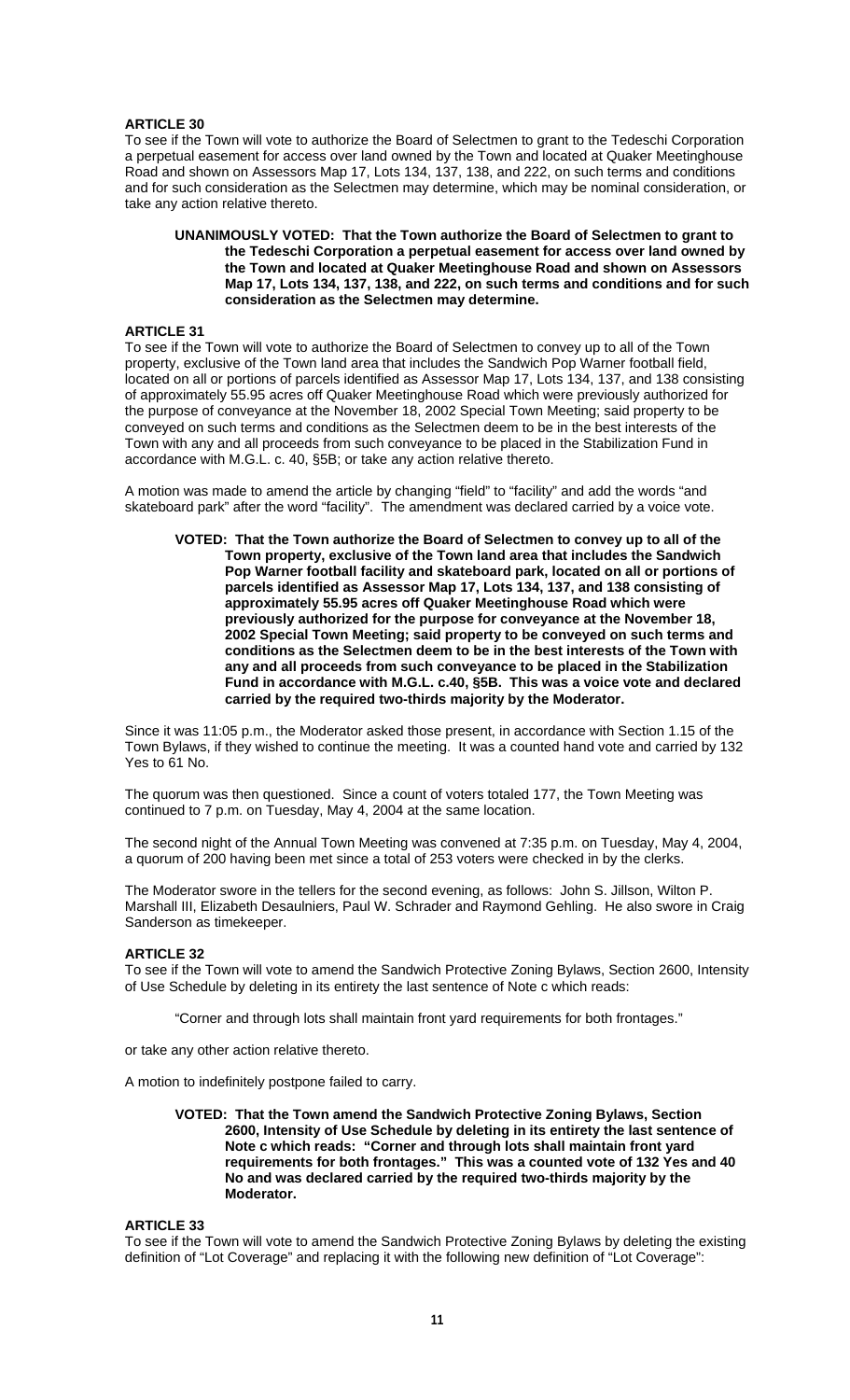### **ARTICLE 30**

To see if the Town will vote to authorize the Board of Selectmen to grant to the Tedeschi Corporation a perpetual easement for access over land owned by the Town and located at Quaker Meetinghouse Road and shown on Assessors Map 17, Lots 134, 137, 138, and 222, on such terms and conditions and for such consideration as the Selectmen may determine, which may be nominal consideration, or take any action relative thereto.

#### **UNANIMOUSLY VOTED: That the Town authorize the Board of Selectmen to grant to the Tedeschi Corporation a perpetual easement for access over land owned by the Town and located at Quaker Meetinghouse Road and shown on Assessors Map 17, Lots 134, 137, 138, and 222, on such terms and conditions and for such consideration as the Selectmen may determine.**

# **ARTICLE 31**

To see if the Town will vote to authorize the Board of Selectmen to convey up to all of the Town property, exclusive of the Town land area that includes the Sandwich Pop Warner football field, located on all or portions of parcels identified as Assessor Map 17, Lots 134, 137, and 138 consisting of approximately 55.95 acres off Quaker Meetinghouse Road which were previously authorized for the purpose of conveyance at the November 18, 2002 Special Town Meeting; said property to be conveyed on such terms and conditions as the Selectmen deem to be in the best interests of the Town with any and all proceeds from such conveyance to be placed in the Stabilization Fund in accordance with M.G.L. c. 40, §5B; or take any action relative thereto.

A motion was made to amend the article by changing "field" to "facility" and add the words "and skateboard park" after the word "facility". The amendment was declared carried by a voice vote.

**VOTED: That the Town authorize the Board of Selectmen to convey up to all of the Town property, exclusive of the Town land area that includes the Sandwich Pop Warner football facility and skateboard park, located on all or portions of parcels identified as Assessor Map 17, Lots 134, 137, and 138 consisting of approximately 55.95 acres off Quaker Meetinghouse Road which were previously authorized for the purpose for conveyance at the November 18, 2002 Special Town Meeting; said property to be conveyed on such terms and conditions as the Selectmen deem to be in the best interests of the Town with any and all proceeds from such conveyance to be placed in the Stabilization Fund in accordance with M.G.L. c.40, §5B. This was a voice vote and declared carried by the required two-thirds majority by the Moderator.** 

Since it was 11:05 p.m., the Moderator asked those present, in accordance with Section 1.15 of the Town Bylaws, if they wished to continue the meeting. It was a counted hand vote and carried by 132 Yes to 61 No.

The quorum was then questioned. Since a count of voters totaled 177, the Town Meeting was continued to 7 p.m. on Tuesday, May 4, 2004 at the same location.

The second night of the Annual Town Meeting was convened at 7:35 p.m. on Tuesday, May 4, 2004, a quorum of 200 having been met since a total of 253 voters were checked in by the clerks.

The Moderator swore in the tellers for the second evening, as follows: John S. Jillson, Wilton P. Marshall III, Elizabeth Desaulniers, Paul W. Schrader and Raymond Gehling. He also swore in Craig Sanderson as timekeeper.

# **ARTICLE 32**

To see if the Town will vote to amend the Sandwich Protective Zoning Bylaws, Section 2600, Intensity of Use Schedule by deleting in its entirety the last sentence of Note c which reads:

"Corner and through lots shall maintain front yard requirements for both frontages."

or take any other action relative thereto.

A motion to indefinitely postpone failed to carry.

#### **VOTED: That the Town amend the Sandwich Protective Zoning Bylaws, Section 2600, Intensity of Use Schedule by deleting in its entirety the last sentence of Note c which reads: "Corner and through lots shall maintain front yard requirements for both frontages." This was a counted vote of 132 Yes and 40 No and was declared carried by the required two-thirds majority by the Moderator.**

# **ARTICLE 33**

To see if the Town will vote to amend the Sandwich Protective Zoning Bylaws by deleting the existing definition of "Lot Coverage" and replacing it with the following new definition of "Lot Coverage":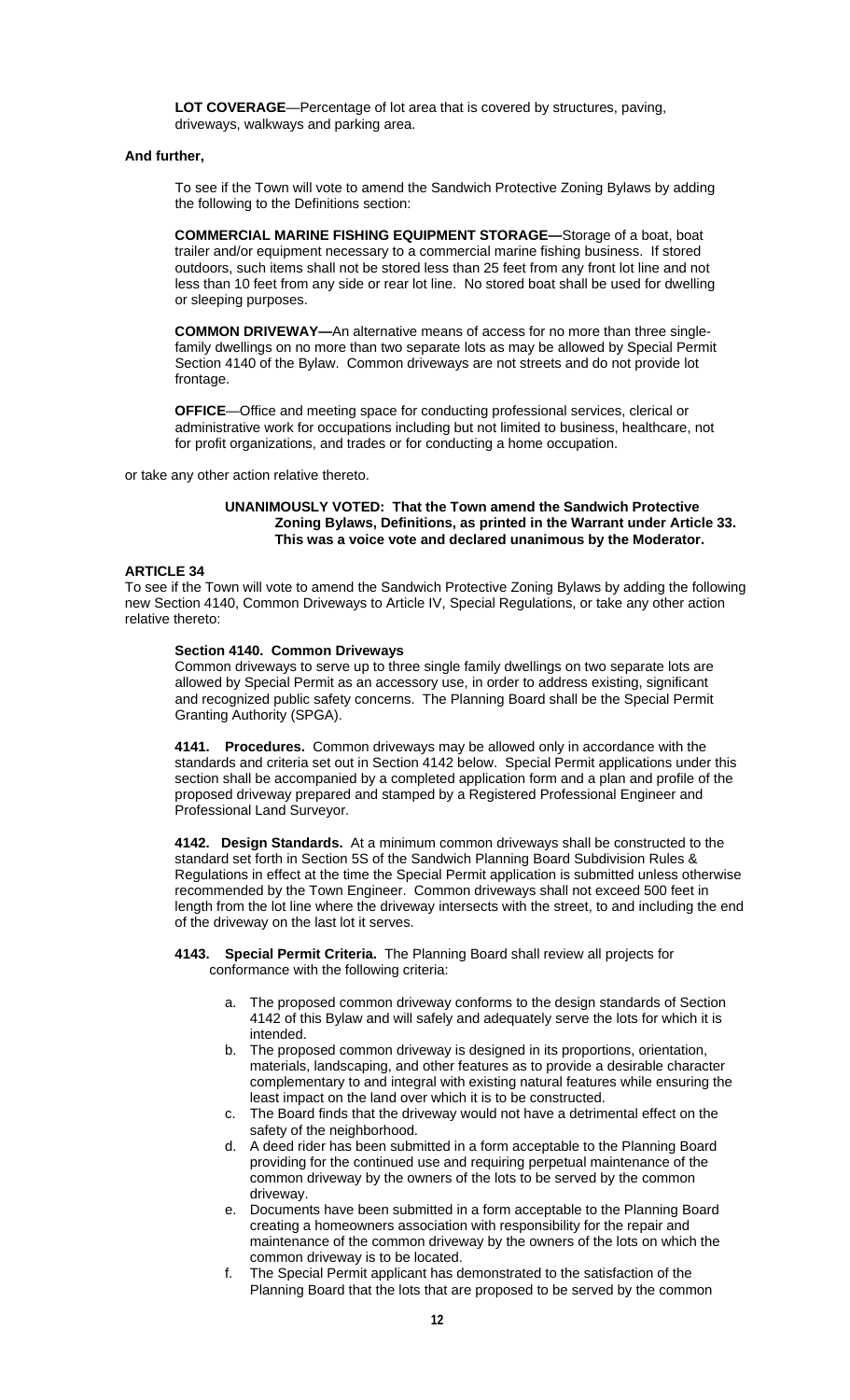**LOT COVERAGE**—Percentage of lot area that is covered by structures, paving, driveways, walkways and parking area.

### **And further,**

 To see if the Town will vote to amend the Sandwich Protective Zoning Bylaws by adding the following to the Definitions section:

**COMMERCIAL MARINE FISHING EQUIPMENT STORAGE—**Storage of a boat, boat trailer and/or equipment necessary to a commercial marine fishing business. If stored outdoors, such items shall not be stored less than 25 feet from any front lot line and not less than 10 feet from any side or rear lot line. No stored boat shall be used for dwelling or sleeping purposes.

**COMMON DRIVEWAY—**An alternative means of access for no more than three single family dwellings on no more than two separate lots as may be allowed by Special Permit Section 4140 of the Bylaw. Common driveways are not streets and do not provide lot frontage.

**OFFICE**—Office and meeting space for conducting professional services, clerical or administrative work for occupations including but not limited to business, healthcare, not for profit organizations, and trades or for conducting a home occupation.

or take any other action relative thereto.

#### **UNANIMOUSLY VOTED: That the Town amend the Sandwich Protective Zoning Bylaws, Definitions, as printed in the Warrant under Article 33. This was a voice vote and declared unanimous by the Moderator.**

### **ARTICLE 34**

To see if the Town will vote to amend the Sandwich Protective Zoning Bylaws by adding the following new Section 4140, Common Driveways to Article IV, Special Regulations, or take any other action relative thereto:

### **Section 4140. Common Driveways**

Common driveways to serve up to three single family dwellings on two separate lots are allowed by Special Permit as an accessory use, in order to address existing, significant and recognized public safety concerns. The Planning Board shall be the Special Permit Granting Authority (SPGA).

**4141. Procedures.** Common driveways may be allowed only in accordance with the standards and criteria set out in Section 4142 below. Special Permit applications under this section shall be accompanied by a completed application form and a plan and profile of the proposed driveway prepared and stamped by a Registered Professional Engineer and Professional Land Surveyor.

**4142. Design Standards.** At a minimum common driveways shall be constructed to the standard set forth in Section 5S of the Sandwich Planning Board Subdivision Rules & Regulations in effect at the time the Special Permit application is submitted unless otherwise recommended by the Town Engineer. Common driveways shall not exceed 500 feet in length from the lot line where the driveway intersects with the street, to and including the end of the driveway on the last lot it serves.

### **4143. Special Permit Criteria.** The Planning Board shall review all projects for conformance with the following criteria:

- The proposed common driveway conforms to the design standards of Section 4142 of this Bylaw and will safely and adequately serve the lots for which it is intended.
- b. The proposed common driveway is designed in its proportions, orientation, materials, landscaping, and other features as to provide a desirable character complementary to and integral with existing natural features while ensuring the least impact on the land over which it is to be constructed.
- c. The Board finds that the driveway would not have a detrimental effect on the safety of the neighborhood.
- d. A deed rider has been submitted in a form acceptable to the Planning Board providing for the continued use and requiring perpetual maintenance of the common driveway by the owners of the lots to be served by the common driveway.
- e. Documents have been submitted in a form acceptable to the Planning Board creating a homeowners association with responsibility for the repair and maintenance of the common driveway by the owners of the lots on which the common driveway is to be located.
- f. The Special Permit applicant has demonstrated to the satisfaction of the Planning Board that the lots that are proposed to be served by the common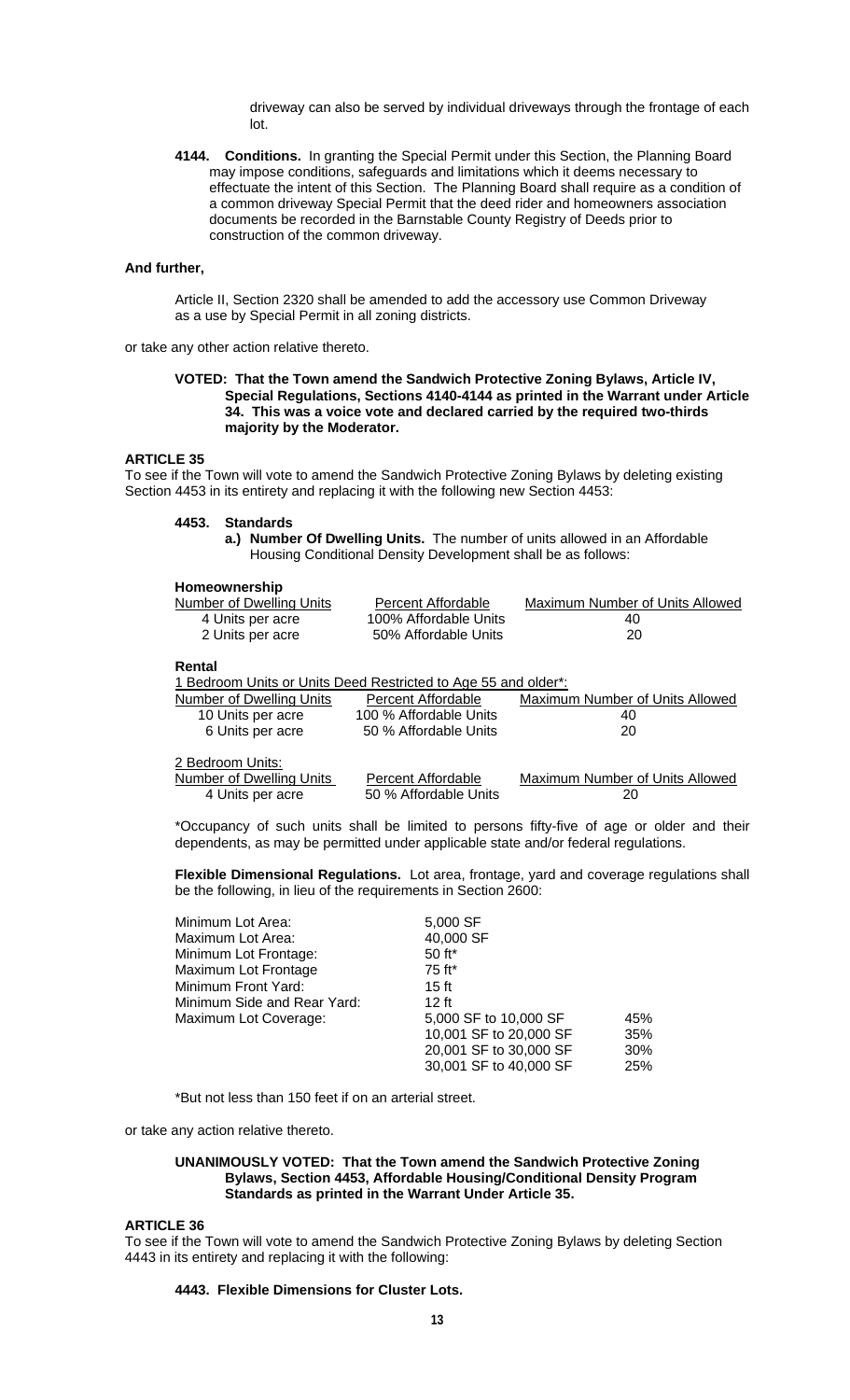driveway can also be served by individual driveways through the frontage of each lot.

**4144. Conditions.** In granting the Special Permit under this Section, the Planning Board may impose conditions, safeguards and limitations which it deems necessary to effectuate the intent of this Section. The Planning Board shall require as a condition of a common driveway Special Permit that the deed rider and homeowners association documents be recorded in the Barnstable County Registry of Deeds prior to construction of the common driveway.

# **And further,**

 Article II, Section 2320 shall be amended to add the accessory use Common Driveway as a use by Special Permit in all zoning districts.

or take any other action relative thereto.

#### **VOTED: That the Town amend the Sandwich Protective Zoning Bylaws, Article IV, Special Regulations, Sections 4140-4144 as printed in the Warrant under Article 34. This was a voice vote and declared carried by the required two-thirds majority by the Moderator.**

### **ARTICLE 35**

To see if the Town will vote to amend the Sandwich Protective Zoning Bylaws by deleting existing Section 4453 in its entirety and replacing it with the following new Section 4453:

#### **4453. Standards**

**a.) Number Of Dwelling Units.** The number of units allowed in an Affordable Housing Conditional Density Development shall be as follows:

#### **Homeownership**

| Number of Dwelling Units                                                 | Percent Affordable                                 | Maximum Number of Units Allowed       |
|--------------------------------------------------------------------------|----------------------------------------------------|---------------------------------------|
| 4 Units per acre                                                         | 100% Affordable Units                              | 40                                    |
| 2 Units per acre                                                         | 50% Affordable Units                               | 20                                    |
| Rental<br>1 Bedroom Units or Units Deed Restricted to Age 55 and older*: |                                                    |                                       |
| Number of Dwelling Units                                                 | Percent Affordable                                 | Maximum Number of Units Allowed       |
| 10 Units per acre                                                        | 100 % Affordable Units                             | 40                                    |
| 6 Units per acre                                                         | 50 % Affordable Units                              | 20                                    |
| 2 Bedroom Units:<br>Number of Dwelling Units<br>4 Units per acre         | <b>Percent Affordable</b><br>50 % Affordable Units | Maximum Number of Units Allowed<br>20 |

\*Occupancy of such units shall be limited to persons fifty-five of age or older and their dependents, as may be permitted under applicable state and/or federal regulations.

**Flexible Dimensional Regulations.** Lot area, frontage, yard and coverage regulations shall be the following, in lieu of the requirements in Section 2600:

| Minimum Lot Area:           | 5,000 SF               |     |
|-----------------------------|------------------------|-----|
| Maximum Lot Area:           | 40,000 SF              |     |
| Minimum Lot Frontage:       | $50$ ft*               |     |
| Maximum Lot Frontage        | 75 ft*                 |     |
| Minimum Front Yard:         | $15$ ft                |     |
| Minimum Side and Rear Yard: | $12$ ft                |     |
| Maximum Lot Coverage:       | 5,000 SF to 10,000 SF  | 45% |
|                             | 10,001 SF to 20,000 SF | 35% |
|                             | 20,001 SF to 30,000 SF | 30% |
|                             | 30,001 SF to 40,000 SF | 25% |

\*But not less than 150 feet if on an arterial street.

or take any action relative thereto.

### **UNANIMOUSLY VOTED: That the Town amend the Sandwich Protective Zoning Bylaws, Section 4453, Affordable Housing/Conditional Density Program Standards as printed in the Warrant Under Article 35.**

#### **ARTICLE 36**

To see if the Town will vote to amend the Sandwich Protective Zoning Bylaws by deleting Section 4443 in its entirety and replacing it with the following:

### **4443. Flexible Dimensions for Cluster Lots.**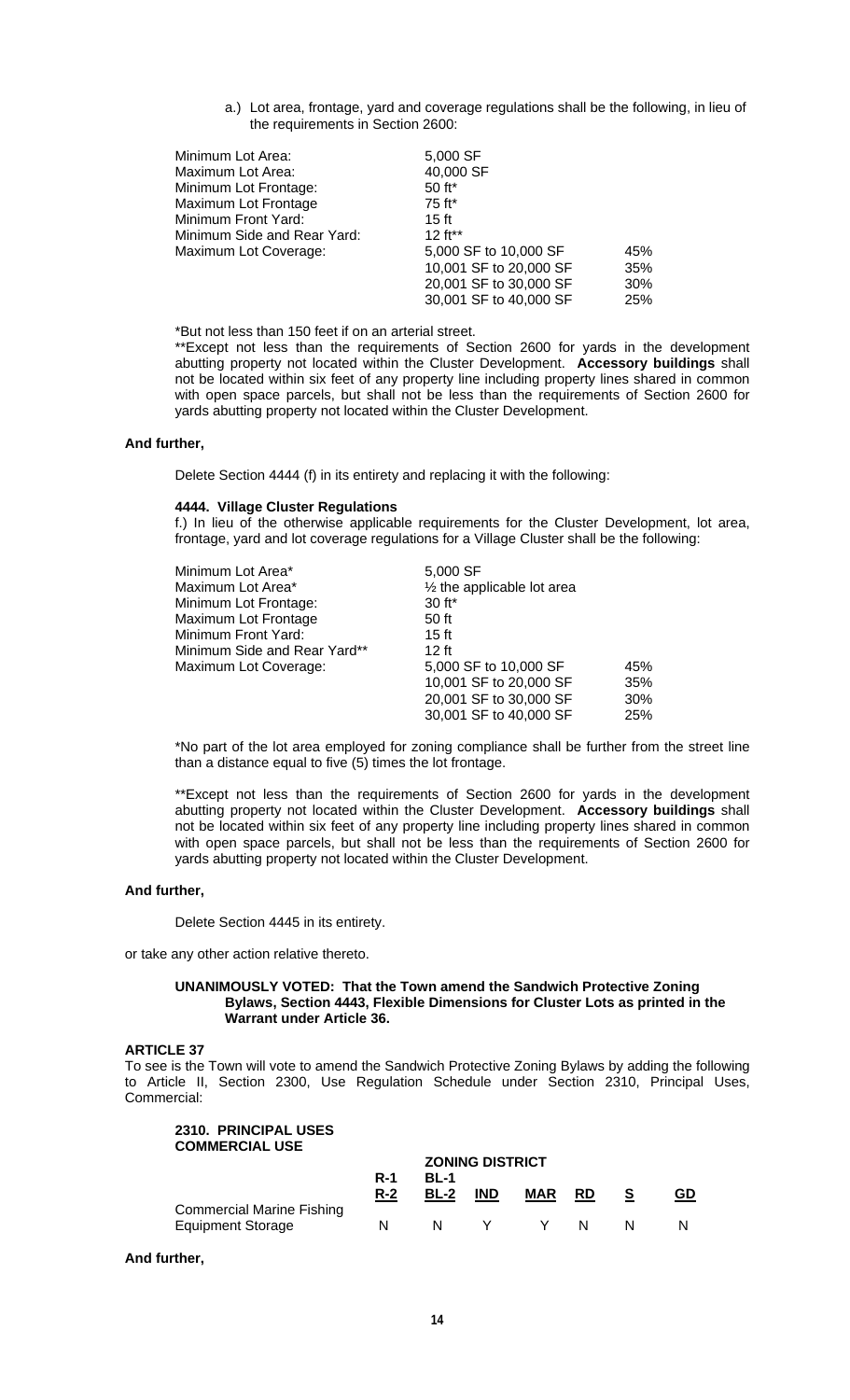a.) Lot area, frontage, yard and coverage regulations shall be the following, in lieu of the requirements in Section 2600:

| Minimum Lot Area:           | 5,000 SF               |            |
|-----------------------------|------------------------|------------|
| Maximum Lot Area:           | 40,000 SF              |            |
| Minimum Lot Frontage:       | 50 ft*                 |            |
| Maximum Lot Frontage        | 75 ft*                 |            |
| Minimum Front Yard:         | $15$ ft                |            |
| Minimum Side and Rear Yard: | $12 ft**$              |            |
| Maximum Lot Coverage:       | 5,000 SF to 10,000 SF  | 45%        |
|                             | 10,001 SF to 20,000 SF | 35%        |
|                             | 20,001 SF to 30,000 SF | 30%        |
|                             | 30,001 SF to 40,000 SF | <b>25%</b> |

\*But not less than 150 feet if on an arterial street.

\*\*Except not less than the requirements of Section 2600 for yards in the development abutting property not located within the Cluster Development. **Accessory buildings** shall not be located within six feet of any property line including property lines shared in common with open space parcels, but shall not be less than the requirements of Section 2600 for yards abutting property not located within the Cluster Development.

### **And further,**

Delete Section 4444 (f) in its entirety and replacing it with the following:

#### **4444. Village Cluster Regulations**

f.) In lieu of the otherwise applicable requirements for the Cluster Development, lot area, frontage, yard and lot coverage regulations for a Village Cluster shall be the following:

| Minimum Lot Area*            | 5,000 SF                              |     |
|------------------------------|---------------------------------------|-----|
| Maximum Lot Area*            | $\frac{1}{2}$ the applicable lot area |     |
| Minimum Lot Frontage:        | $30$ ft <sup>*</sup>                  |     |
| Maximum Lot Frontage         | 50 ft                                 |     |
| Minimum Front Yard:          | $15$ ft                               |     |
| Minimum Side and Rear Yard** | $12$ ft                               |     |
| Maximum Lot Coverage:        | 5,000 SF to 10,000 SF                 | 45% |
|                              | 10,001 SF to 20,000 SF                | 35% |
|                              | 20,001 SF to 30,000 SF                | 30% |
|                              | 30,001 SF to 40,000 SF                | 25% |
|                              |                                       |     |

\*No part of the lot area employed for zoning compliance shall be further from the street line than a distance equal to five (5) times the lot frontage.

\*\*Except not less than the requirements of Section 2600 for yards in the development abutting property not located within the Cluster Development. **Accessory buildings** shall not be located within six feet of any property line including property lines shared in common with open space parcels, but shall not be less than the requirements of Section 2600 for yards abutting property not located within the Cluster Development.

### **And further,**

Delete Section 4445 in its entirety.

or take any other action relative thereto.

### **UNANIMOUSLY VOTED: That the Town amend the Sandwich Protective Zoning Bylaws, Section 4443, Flexible Dimensions for Cluster Lots as printed in the Warrant under Article 36.**

### **ARTICLE 37**

To see is the Town will vote to amend the Sandwich Protective Zoning Bylaws by adding the following to Article II, Section 2300, Use Regulation Schedule under Section 2310, Principal Uses, Commercial:

#### **2310. PRINCIPAL USES COMMERCIAL USE**

|                                                              |                     |              | <b>ZONING DISTRICT</b> |            |           |    |
|--------------------------------------------------------------|---------------------|--------------|------------------------|------------|-----------|----|
|                                                              | <b>R-1</b><br>$R-2$ | BL-1<br>BL-2 | <b>IND</b>             | <b>MAR</b> | <b>RD</b> | GD |
| <b>Commercial Marine Fishing</b><br><b>Equipment Storage</b> | N                   | N            |                        | Y.         | N.        |    |

**And further,**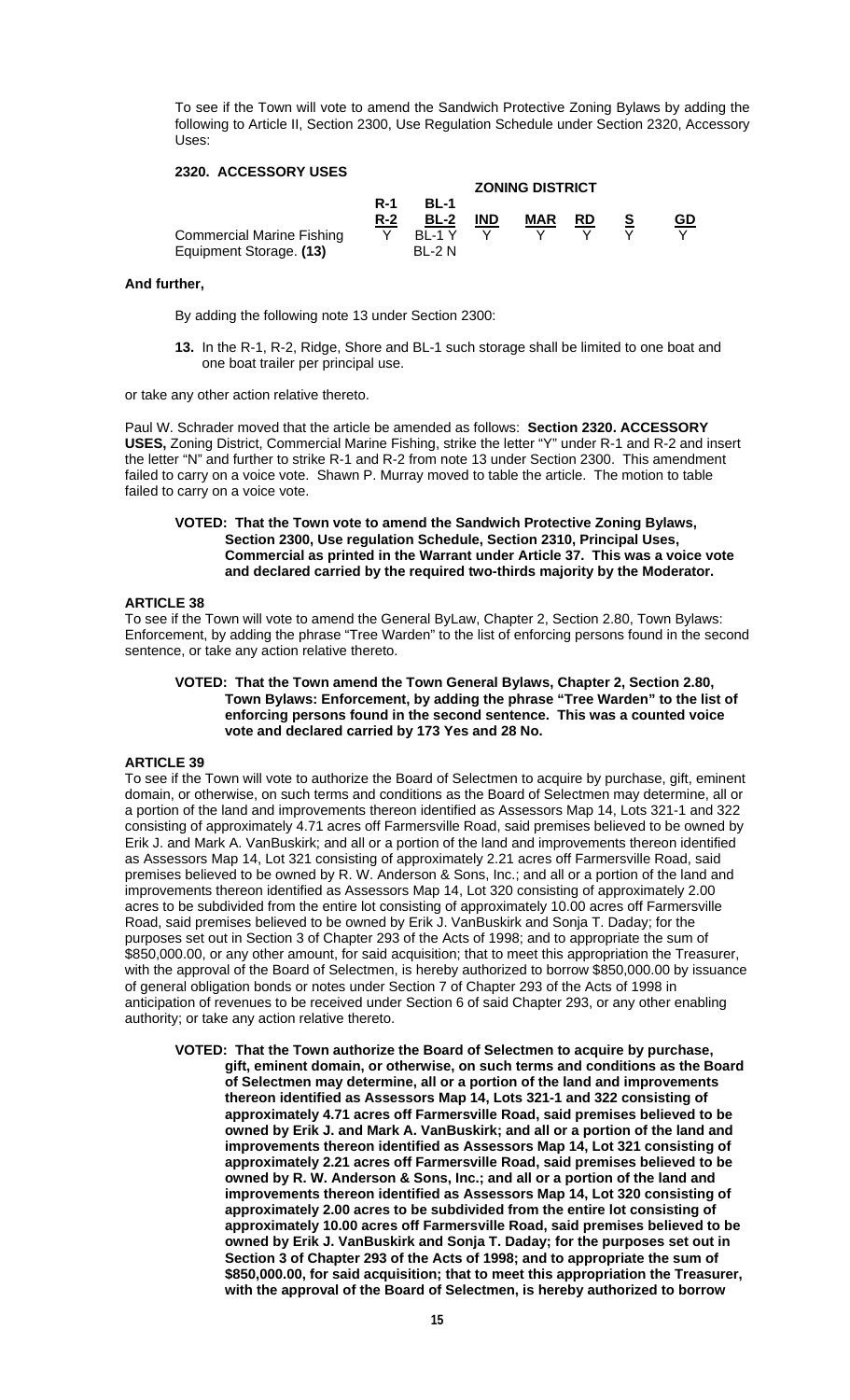To see if the Town will vote to amend the Sandwich Protective Zoning Bylaws by adding the following to Article II, Section 2300, Use Regulation Schedule under Section 2320, Accessory Uses:

# **2320. ACCESSORY USES**

| EVEVI / \VVEVVVI\I VVEV          | <b>ZONING DISTRICT</b> |               |            |            |           |  |           |  |  |
|----------------------------------|------------------------|---------------|------------|------------|-----------|--|-----------|--|--|
|                                  | <b>R-1</b>             | BL-1          |            |            |           |  |           |  |  |
|                                  | $R-2$                  | $BL-2$        | <b>IND</b> | <b>MAR</b> | <b>RD</b> |  | <u>GD</u> |  |  |
| <b>Commercial Marine Fishing</b> |                        | <b>BI-1Y</b>  | Y          |            |           |  |           |  |  |
| Equipment Storage. (13)          |                        | <b>BL-2 N</b> |            |            |           |  |           |  |  |

#### **And further,**

By adding the following note 13 under Section 2300:

**13.** In the R-1, R-2, Ridge, Shore and BL-1 such storage shall be limited to one boat and one boat trailer per principal use.

or take any other action relative thereto.

Paul W. Schrader moved that the article be amended as follows: **Section 2320. ACCESSORY USES,** Zoning District, Commercial Marine Fishing, strike the letter "Y" under R-1 and R-2 and insert the letter "N" and further to strike R-1 and R-2 from note 13 under Section 2300. This amendment failed to carry on a voice vote. Shawn P. Murray moved to table the article. The motion to table failed to carry on a voice vote.

### **VOTED: That the Town vote to amend the Sandwich Protective Zoning Bylaws, Section 2300, Use regulation Schedule, Section 2310, Principal Uses, Commercial as printed in the Warrant under Article 37. This was a voice vote and declared carried by the required two-thirds majority by the Moderator.**

### **ARTICLE 38**

To see if the Town will vote to amend the General ByLaw, Chapter 2, Section 2.80, Town Bylaws: Enforcement, by adding the phrase "Tree Warden" to the list of enforcing persons found in the second sentence, or take any action relative thereto.

#### **VOTED: That the Town amend the Town General Bylaws, Chapter 2, Section 2.80, Town Bylaws: Enforcement, by adding the phrase "Tree Warden" to the list of enforcing persons found in the second sentence. This was a counted voice vote and declared carried by 173 Yes and 28 No.**

### **ARTICLE 39**

To see if the Town will vote to authorize the Board of Selectmen to acquire by purchase, gift, eminent domain, or otherwise, on such terms and conditions as the Board of Selectmen may determine, all or a portion of the land and improvements thereon identified as Assessors Map 14, Lots 321-1 and 322 consisting of approximately 4.71 acres off Farmersville Road, said premises believed to be owned by Erik J. and Mark A. VanBuskirk; and all or a portion of the land and improvements thereon identified as Assessors Map 14, Lot 321 consisting of approximately 2.21 acres off Farmersville Road, said premises believed to be owned by R. W. Anderson & Sons, Inc.; and all or a portion of the land and improvements thereon identified as Assessors Map 14, Lot 320 consisting of approximately 2.00 acres to be subdivided from the entire lot consisting of approximately 10.00 acres off Farmersville Road, said premises believed to be owned by Erik J. VanBuskirk and Sonja T. Daday; for the purposes set out in Section 3 of Chapter 293 of the Acts of 1998; and to appropriate the sum of \$850,000.00, or any other amount, for said acquisition; that to meet this appropriation the Treasurer, with the approval of the Board of Selectmen, is hereby authorized to borrow \$850,000.00 by issuance of general obligation bonds or notes under Section 7 of Chapter 293 of the Acts of 1998 in anticipation of revenues to be received under Section 6 of said Chapter 293, or any other enabling authority; or take any action relative thereto.

**VOTED: That the Town authorize the Board of Selectmen to acquire by purchase, gift, eminent domain, or otherwise, on such terms and conditions as the Board of Selectmen may determine, all or a portion of the land and improvements thereon identified as Assessors Map 14, Lots 321-1 and 322 consisting of approximately 4.71 acres off Farmersville Road, said premises believed to be owned by Erik J. and Mark A. VanBuskirk; and all or a portion of the land and improvements thereon identified as Assessors Map 14, Lot 321 consisting of approximately 2.21 acres off Farmersville Road, said premises believed to be owned by R. W. Anderson & Sons, Inc.; and all or a portion of the land and improvements thereon identified as Assessors Map 14, Lot 320 consisting of approximately 2.00 acres to be subdivided from the entire lot consisting of approximately 10.00 acres off Farmersville Road, said premises believed to be owned by Erik J. VanBuskirk and Sonja T. Daday; for the purposes set out in Section 3 of Chapter 293 of the Acts of 1998; and to appropriate the sum of \$850,000.00, for said acquisition; that to meet this appropriation the Treasurer, with the approval of the Board of Selectmen, is hereby authorized to borrow**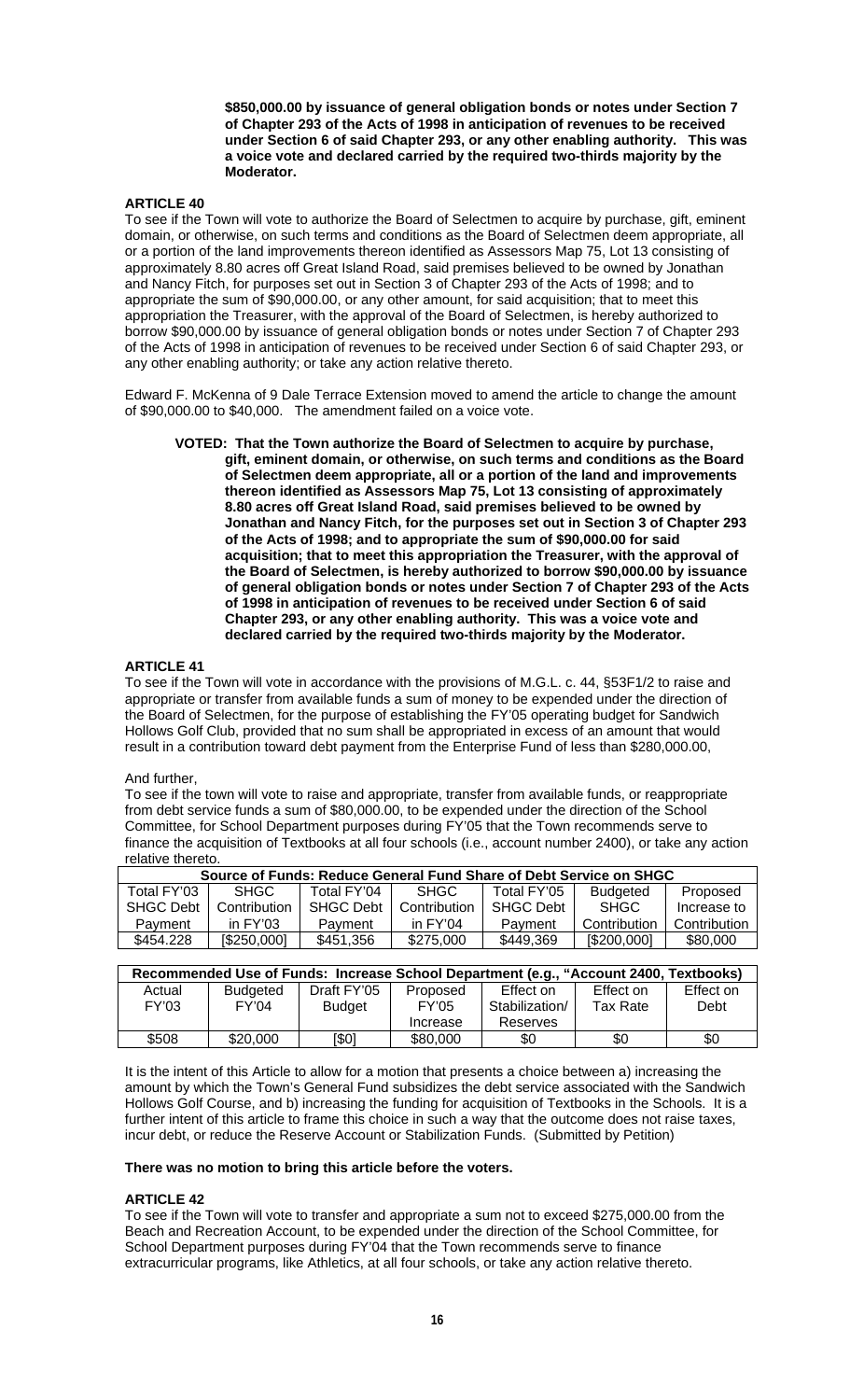**\$850,000.00 by issuance of general obligation bonds or notes under Section 7 of Chapter 293 of the Acts of 1998 in anticipation of revenues to be received under Section 6 of said Chapter 293, or any other enabling authority. This was a voice vote and declared carried by the required two-thirds majority by the Moderator.** 

# **ARTICLE 40**

To see if the Town will vote to authorize the Board of Selectmen to acquire by purchase, gift, eminent domain, or otherwise, on such terms and conditions as the Board of Selectmen deem appropriate, all or a portion of the land improvements thereon identified as Assessors Map 75, Lot 13 consisting of approximately 8.80 acres off Great Island Road, said premises believed to be owned by Jonathan and Nancy Fitch, for purposes set out in Section 3 of Chapter 293 of the Acts of 1998; and to appropriate the sum of \$90,000.00, or any other amount, for said acquisition; that to meet this appropriation the Treasurer, with the approval of the Board of Selectmen, is hereby authorized to borrow \$90,000.00 by issuance of general obligation bonds or notes under Section 7 of Chapter 293 of the Acts of 1998 in anticipation of revenues to be received under Section 6 of said Chapter 293, or any other enabling authority; or take any action relative thereto.

Edward F. McKenna of 9 Dale Terrace Extension moved to amend the article to change the amount of \$90,000.00 to \$40,000. The amendment failed on a voice vote.

**VOTED: That the Town authorize the Board of Selectmen to acquire by purchase, gift, eminent domain, or otherwise, on such terms and conditions as the Board of Selectmen deem appropriate, all or a portion of the land and improvements thereon identified as Assessors Map 75, Lot 13 consisting of approximately 8.80 acres off Great Island Road, said premises believed to be owned by Jonathan and Nancy Fitch, for the purposes set out in Section 3 of Chapter 293 of the Acts of 1998; and to appropriate the sum of \$90,000.00 for said acquisition; that to meet this appropriation the Treasurer, with the approval of the Board of Selectmen, is hereby authorized to borrow \$90,000.00 by issuance of general obligation bonds or notes under Section 7 of Chapter 293 of the Acts of 1998 in anticipation of revenues to be received under Section 6 of said Chapter 293, or any other enabling authority. This was a voice vote and declared carried by the required two-thirds majority by the Moderator.** 

#### **ARTICLE 41**

To see if the Town will vote in accordance with the provisions of M.G.L. c. 44, §53F1/2 to raise and appropriate or transfer from available funds a sum of money to be expended under the direction of the Board of Selectmen, for the purpose of establishing the FY'05 operating budget for Sandwich Hollows Golf Club, provided that no sum shall be appropriated in excess of an amount that would result in a contribution toward debt payment from the Enterprise Fund of less than \$280,000.00,

#### And further,

To see if the town will vote to raise and appropriate, transfer from available funds, or reappropriate from debt service funds a sum of \$80,000.00, to be expended under the direction of the School Committee, for School Department purposes during FY'05 that the Town recommends serve to finance the acquisition of Textbooks at all four schools (i.e., account number 2400), or take any action relative thereto.

| Source of Funds: Reduce General Fund Share of Debt Service on SHGC |                  |              |             |                 |              |  |  |  |  |  |
|--------------------------------------------------------------------|------------------|--------------|-------------|-----------------|--------------|--|--|--|--|--|
| SHGC.                                                              | Total FY'04      | SHGC.        | Total FY'05 | <b>Budgeted</b> | Proposed     |  |  |  |  |  |
| Contribution                                                       | <b>SHGC Debt</b> | Contribution | SHGC Debt   | <b>SHGC</b>     | Increase to  |  |  |  |  |  |
| in $FY'03$                                                         | Payment          | in $FY'04$   | Payment     | Contribution    | Contribution |  |  |  |  |  |
| [\$250,000]                                                        | \$451,356        | \$275,000    | \$449,369   | [\$200,000]     | \$80,000     |  |  |  |  |  |
|                                                                    |                  |              |             |                 |              |  |  |  |  |  |

| Recommended Use of Funds: Increase School Department (e.g., "Account 2400, Textbooks) |          |               |              |                |           |           |  |  |  |  |
|---------------------------------------------------------------------------------------|----------|---------------|--------------|----------------|-----------|-----------|--|--|--|--|
| Actual                                                                                | Budgeted | Draft FY'05   | Proposed     | Effect on      | Effect on | Effect on |  |  |  |  |
| FY'03                                                                                 | FY'04    | <b>Budget</b> | <b>FY'05</b> | Stabilization/ | Tax Rate  | Debt      |  |  |  |  |
|                                                                                       |          |               | Increase     | Reserves       |           |           |  |  |  |  |
| \$508                                                                                 | \$20,000 | [\$0]         | \$80,000     | \$0            | \$0       | \$0       |  |  |  |  |

It is the intent of this Article to allow for a motion that presents a choice between a) increasing the amount by which the Town's General Fund subsidizes the debt service associated with the Sandwich Hollows Golf Course, and b) increasing the funding for acquisition of Textbooks in the Schools. It is a further intent of this article to frame this choice in such a way that the outcome does not raise taxes, incur debt, or reduce the Reserve Account or Stabilization Funds. (Submitted by Petition)

### **There was no motion to bring this article before the voters.**

### **ARTICLE 42**

To see if the Town will vote to transfer and appropriate a sum not to exceed \$275,000.00 from the Beach and Recreation Account, to be expended under the direction of the School Committee, for School Department purposes during FY'04 that the Town recommends serve to finance extracurricular programs, like Athletics, at all four schools, or take any action relative thereto.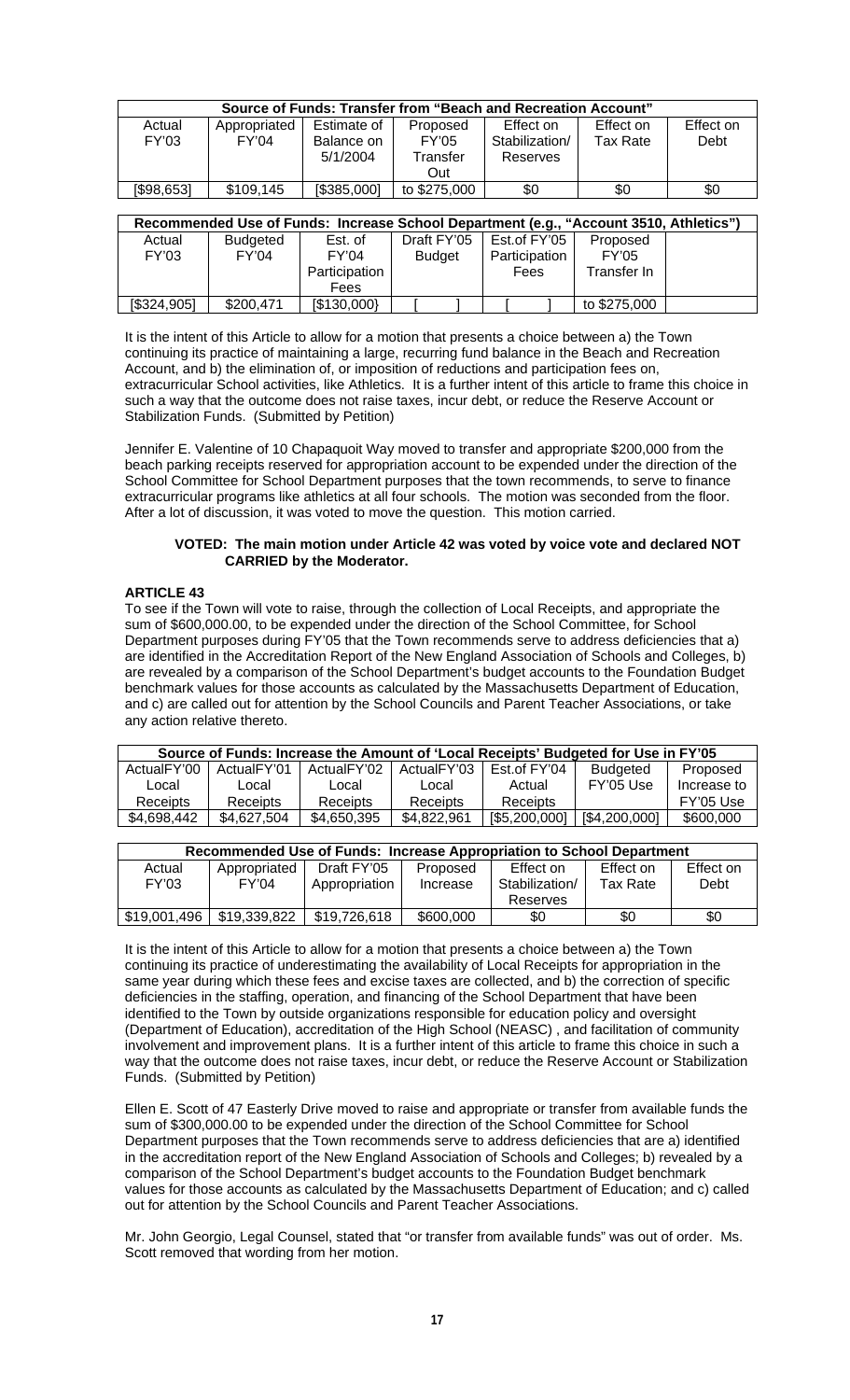| Source of Funds: Transfer from "Beach and Recreation Account"                          |                 |             |              |                |                 |           |  |  |  |  |  |
|----------------------------------------------------------------------------------------|-----------------|-------------|--------------|----------------|-----------------|-----------|--|--|--|--|--|
| Actual                                                                                 | Appropriated    | Estimate of | Proposed     | Effect on      | Effect on       | Effect on |  |  |  |  |  |
| FY'03                                                                                  | FY'04           | Balance on  | FY'05        | Stabilization/ | <b>Tax Rate</b> | Debt      |  |  |  |  |  |
|                                                                                        |                 | 5/1/2004    | Transfer     | Reserves       |                 |           |  |  |  |  |  |
|                                                                                        |                 |             | Out          |                |                 |           |  |  |  |  |  |
| [\$98,653]                                                                             | \$109,145       | [\$385,000] | to \$275,000 | \$0            | \$0             | \$0       |  |  |  |  |  |
|                                                                                        |                 |             |              |                |                 |           |  |  |  |  |  |
| Recommended Use of Funds: Increase School Department (e.g., "Account 3510, Athletics") |                 |             |              |                |                 |           |  |  |  |  |  |
| Actual                                                                                 | <b>Budgeted</b> | Est. of     | Draft FY'05  | Est.of FY'05   | Proposed        |           |  |  |  |  |  |

| Actual      | <b>Budgeted</b> | Est. of       | Draft FY'05 |                                | Est.of FY'05 |              | Proposed     |  |
|-------------|-----------------|---------------|-------------|--------------------------------|--------------|--------------|--------------|--|
| FY'03       | FY'04           | FY'04         |             | Participation<br><b>Budget</b> |              | <b>FY'05</b> |              |  |
|             |                 | Participation |             |                                | Fees         |              | Transfer In  |  |
|             |                 | Fees          |             |                                |              |              |              |  |
| [\$324,905] | \$200,471       | [\$130,000]   |             |                                |              |              | to \$275,000 |  |

It is the intent of this Article to allow for a motion that presents a choice between a) the Town continuing its practice of maintaining a large, recurring fund balance in the Beach and Recreation Account, and b) the elimination of, or imposition of reductions and participation fees on, extracurricular School activities, like Athletics. It is a further intent of this article to frame this choice in such a way that the outcome does not raise taxes, incur debt, or reduce the Reserve Account or Stabilization Funds. (Submitted by Petition)

Jennifer E. Valentine of 10 Chapaquoit Way moved to transfer and appropriate \$200,000 from the beach parking receipts reserved for appropriation account to be expended under the direction of the School Committee for School Department purposes that the town recommends, to serve to finance extracurricular programs like athletics at all four schools. The motion was seconded from the floor. After a lot of discussion, it was voted to move the question. This motion carried.

### **VOTED: The main motion under Article 42 was voted by voice vote and declared NOT CARRIED by the Moderator.**

# **ARTICLE 43**

To see if the Town will vote to raise, through the collection of Local Receipts, and appropriate the sum of \$600,000.00, to be expended under the direction of the School Committee, for School Department purposes during FY'05 that the Town recommends serve to address deficiencies that a) are identified in the Accreditation Report of the New England Association of Schools and Colleges, b) are revealed by a comparison of the School Department's budget accounts to the Foundation Budget benchmark values for those accounts as calculated by the Massachusetts Department of Education, and c) are called out for attention by the School Councils and Parent Teacher Associations, or take any action relative thereto.

| Source of Funds: Increase the Amount of 'Local Receipts' Budgeted for Use in FY'05 |                         |                         |             |               |                 |             |  |  |  |
|------------------------------------------------------------------------------------|-------------------------|-------------------------|-------------|---------------|-----------------|-------------|--|--|--|
| ActualFY'00                                                                        | Actual <sub>FY'01</sub> | Actual <sub>FY'02</sub> | ActualFY'03 | Est of FY'04  | <b>Budgeted</b> | Proposed    |  |  |  |
| Local                                                                              | Local                   | Local                   | Local       | Actual        | FY'05 Use       | Increase to |  |  |  |
| Receipts                                                                           | Receipts                | Receipts                | Receipts    | Receipts      |                 | FY'05 Use   |  |  |  |
| \$4,698,442                                                                        | \$4.627.504             | \$4,650,395             | \$4.822.961 | [\$5,200,000] | [\$4,200,000]   | \$600,000   |  |  |  |

| Recommended Use of Funds: Increase Appropriation to School Department |              |               |           |                |           |           |  |  |  |  |
|-----------------------------------------------------------------------|--------------|---------------|-----------|----------------|-----------|-----------|--|--|--|--|
| Actual                                                                | Appropriated | Draft FY'05   | Proposed  | Effect on      | Effect on | Effect on |  |  |  |  |
| FY'03                                                                 | FY'04        | Appropriation | Increase  | Stabilization/ | Tax Rate  | Debt      |  |  |  |  |
|                                                                       |              |               |           | Reserves       |           |           |  |  |  |  |
| \$19,001,496                                                          | \$19,339,822 | \$19,726,618  | \$600,000 | \$0            | \$0       | \$0       |  |  |  |  |

It is the intent of this Article to allow for a motion that presents a choice between a) the Town continuing its practice of underestimating the availability of Local Receipts for appropriation in the same year during which these fees and excise taxes are collected, and b) the correction of specific deficiencies in the staffing, operation, and financing of the School Department that have been identified to the Town by outside organizations responsible for education policy and oversight (Department of Education), accreditation of the High School (NEASC) , and facilitation of community involvement and improvement plans. It is a further intent of this article to frame this choice in such a way that the outcome does not raise taxes, incur debt, or reduce the Reserve Account or Stabilization Funds. (Submitted by Petition)

Ellen E. Scott of 47 Easterly Drive moved to raise and appropriate or transfer from available funds the sum of \$300,000.00 to be expended under the direction of the School Committee for School Department purposes that the Town recommends serve to address deficiencies that are a) identified in the accreditation report of the New England Association of Schools and Colleges; b) revealed by a comparison of the School Department's budget accounts to the Foundation Budget benchmark values for those accounts as calculated by the Massachusetts Department of Education; and c) called out for attention by the School Councils and Parent Teacher Associations.

Mr. John Georgio, Legal Counsel, stated that "or transfer from available funds" was out of order. Ms. Scott removed that wording from her motion.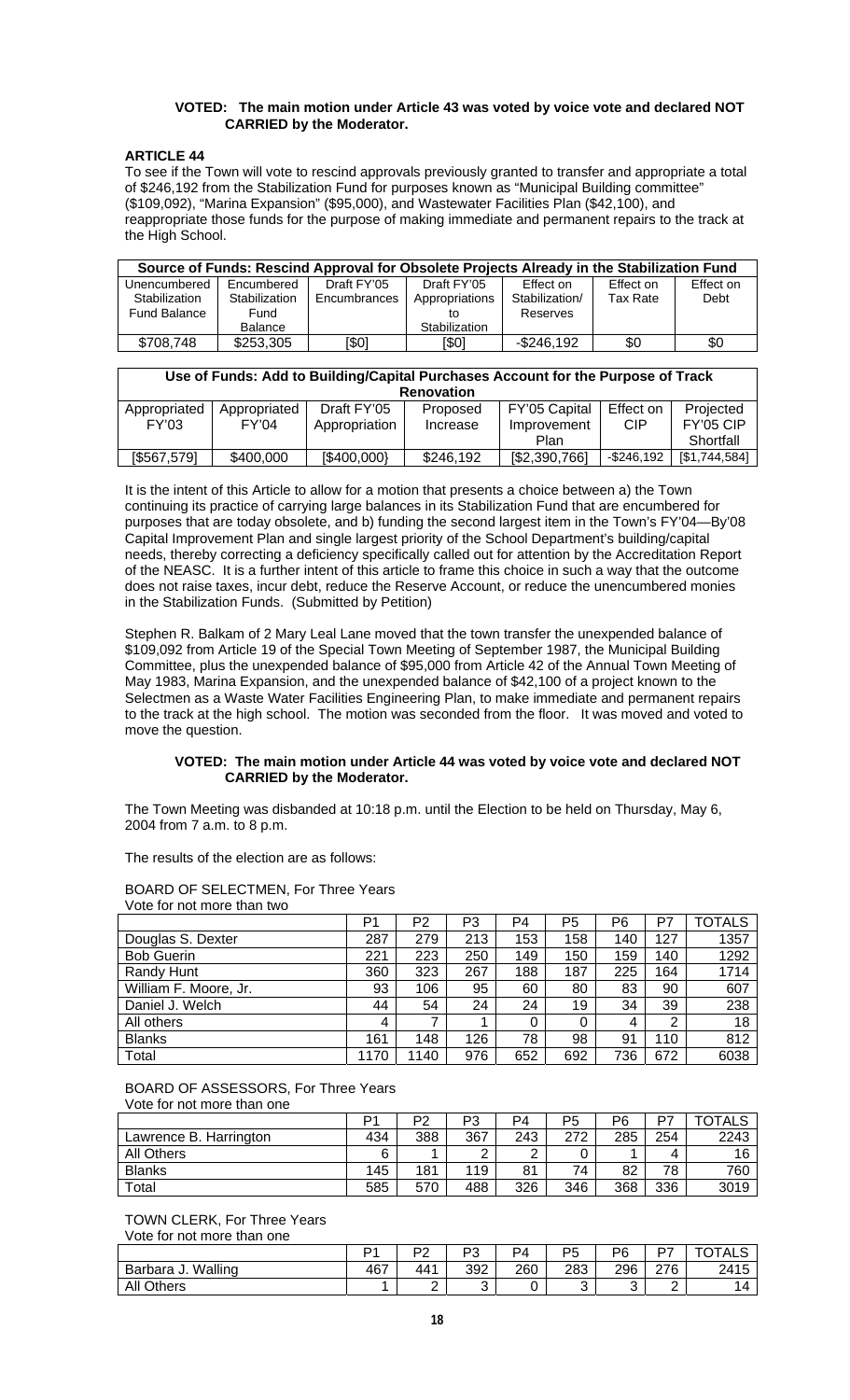### **VOTED: The main motion under Article 43 was voted by voice vote and declared NOT CARRIED by the Moderator.**

### **ARTICLE 44**

To see if the Town will vote to rescind approvals previously granted to transfer and appropriate a total of \$246,192 from the Stabilization Fund for purposes known as "Municipal Building committee" (\$109,092), "Marina Expansion" (\$95,000), and Wastewater Facilities Plan (\$42,100), and reappropriate those funds for the purpose of making immediate and permanent repairs to the track at the High School.

| Source of Funds: Rescind Approval for Obsolete Projects Already in the Stabilization Fund |                |                                |               |                |           |           |  |  |  |  |
|-------------------------------------------------------------------------------------------|----------------|--------------------------------|---------------|----------------|-----------|-----------|--|--|--|--|
| Unencumbered                                                                              | Encumbered     | Draft FY'05                    | Draft FY'05   | Effect on      | Effect on | Effect on |  |  |  |  |
| Stabilization                                                                             | Stabilization  | Appropriations<br>Encumbrances |               | Stabilization/ | Tax Rate  | Debt      |  |  |  |  |
| Fund Balance                                                                              | Fund           |                                |               | Reserves       |           |           |  |  |  |  |
|                                                                                           | <b>Balance</b> |                                | Stabilization |                |           |           |  |  |  |  |
| \$708,748                                                                                 | \$253,305      | [\$0]                          | [\$0]         | -\$246.192     | \$0       | \$0       |  |  |  |  |

| Use of Funds: Add to Building/Capital Purchases Account for the Purpose of Track<br><b>Renovation</b> |              |               |           |               |               |                  |  |  |  |  |
|-------------------------------------------------------------------------------------------------------|--------------|---------------|-----------|---------------|---------------|------------------|--|--|--|--|
|                                                                                                       |              |               |           |               |               |                  |  |  |  |  |
| Appropriated                                                                                          | Appropriated | Draft FY'05   | Proposed  | FY'05 Capital | Effect on     | Projected        |  |  |  |  |
| FY'03                                                                                                 | FY'04        | Appropriation | Increase  | Improvement   | <b>CIP</b>    | <b>FY'05 CIP</b> |  |  |  |  |
|                                                                                                       |              |               |           | Plan          |               | Shortfall        |  |  |  |  |
| [\$567,579]                                                                                           | \$400,000    | [\$400,000]   | \$246,192 | [\$2,390,766] | $-$ \$246,192 | [\$1,744,584]    |  |  |  |  |

It is the intent of this Article to allow for a motion that presents a choice between a) the Town continuing its practice of carrying large balances in its Stabilization Fund that are encumbered for purposes that are today obsolete, and b) funding the second largest item in the Town's FY'04—By'08 Capital Improvement Plan and single largest priority of the School Department's building/capital needs, thereby correcting a deficiency specifically called out for attention by the Accreditation Report of the NEASC. It is a further intent of this article to frame this choice in such a way that the outcome does not raise taxes, incur debt, reduce the Reserve Account, or reduce the unencumbered monies in the Stabilization Funds. (Submitted by Petition)

Stephen R. Balkam of 2 Mary Leal Lane moved that the town transfer the unexpended balance of \$109,092 from Article 19 of the Special Town Meeting of September 1987, the Municipal Building Committee, plus the unexpended balance of \$95,000 from Article 42 of the Annual Town Meeting of May 1983, Marina Expansion, and the unexpended balance of \$42,100 of a project known to the Selectmen as a Waste Water Facilities Engineering Plan, to make immediate and permanent repairs to the track at the high school. The motion was seconded from the floor. It was moved and voted to move the question.

### **VOTED: The main motion under Article 44 was voted by voice vote and declared NOT CARRIED by the Moderator.**

The Town Meeting was disbanded at 10:18 p.m. until the Election to be held on Thursday, May 6, 2004 from 7 a.m. to 8 p.m.

The results of the election are as follows:

BOARD OF SELECTMEN, For Three Years Vote for not more than two

|                       | P1   | P2  | P3  | P4  | P5  | P <sub>6</sub> | P7  | <b>TOTALS</b> |
|-----------------------|------|-----|-----|-----|-----|----------------|-----|---------------|
| Douglas S. Dexter     | 287  | 279 | 213 | 153 | 158 | 140            | 127 | 1357          |
| <b>Bob Guerin</b>     | 221  | 223 | 250 | 149 | 150 | 159            | 140 | 1292          |
| Randy Hunt            | 360  | 323 | 267 | 188 | 187 | 225            | 164 | 1714          |
| William F. Moore, Jr. | 93   | 106 | 95  | 60  | 80  | 83             | 90  | 607           |
| Daniel J. Welch       | 44   | 54  | 24  | 24  | 19  | 34             | 39  | 238           |
| All others            | 4    |     |     | 0   | 0   | 4              | 2   | 18            |
| <b>Blanks</b>         | 161  | 148 | 126 | 78  | 98  | 91             | 110 | 812           |
| Total                 | 1170 | 140 | 976 | 652 | 692 | 736            | 672 | 6038          |

#### BOARD OF ASSESSORS, For Three Years Vote for not more than one

|                        | ٥۰  | P2  | פּס<br>ు | P4  | P5  | P6  | כס  | <b>TOTALS</b> |
|------------------------|-----|-----|----------|-----|-----|-----|-----|---------------|
| Lawrence B. Harrington | 434 | 388 | 367      | 243 | 272 | 285 | 254 | 2243          |
| All Others             |     |     |          |     |     |     |     | 16            |
| <b>Blanks</b>          | 145 | 181 | 119      | 81  | 74  | 82  | 78  | 760           |
| Total                  | 585 | 570 | 488      | 326 | 346 | 368 | 336 | 3019          |

TOWN CLERK, For Three Years Vote for not more than one

| $\sqrt{2}$            |     |                |          |     |          |        |     |               |
|-----------------------|-----|----------------|----------|-----|----------|--------|-----|---------------|
|                       |     | פם<br><u>_</u> | מח<br>ັບ | P4  | DБ<br>ັບ | P6     | D7  | <b>TOTALS</b> |
| Walling<br>Barbara J. | 467 | 441            | 392      | 260 | 283      | 296    | 276 | 2415          |
| <b>All Others</b>     |     | -              | u        |     | ັ        | ⌒<br>u | -   | 14            |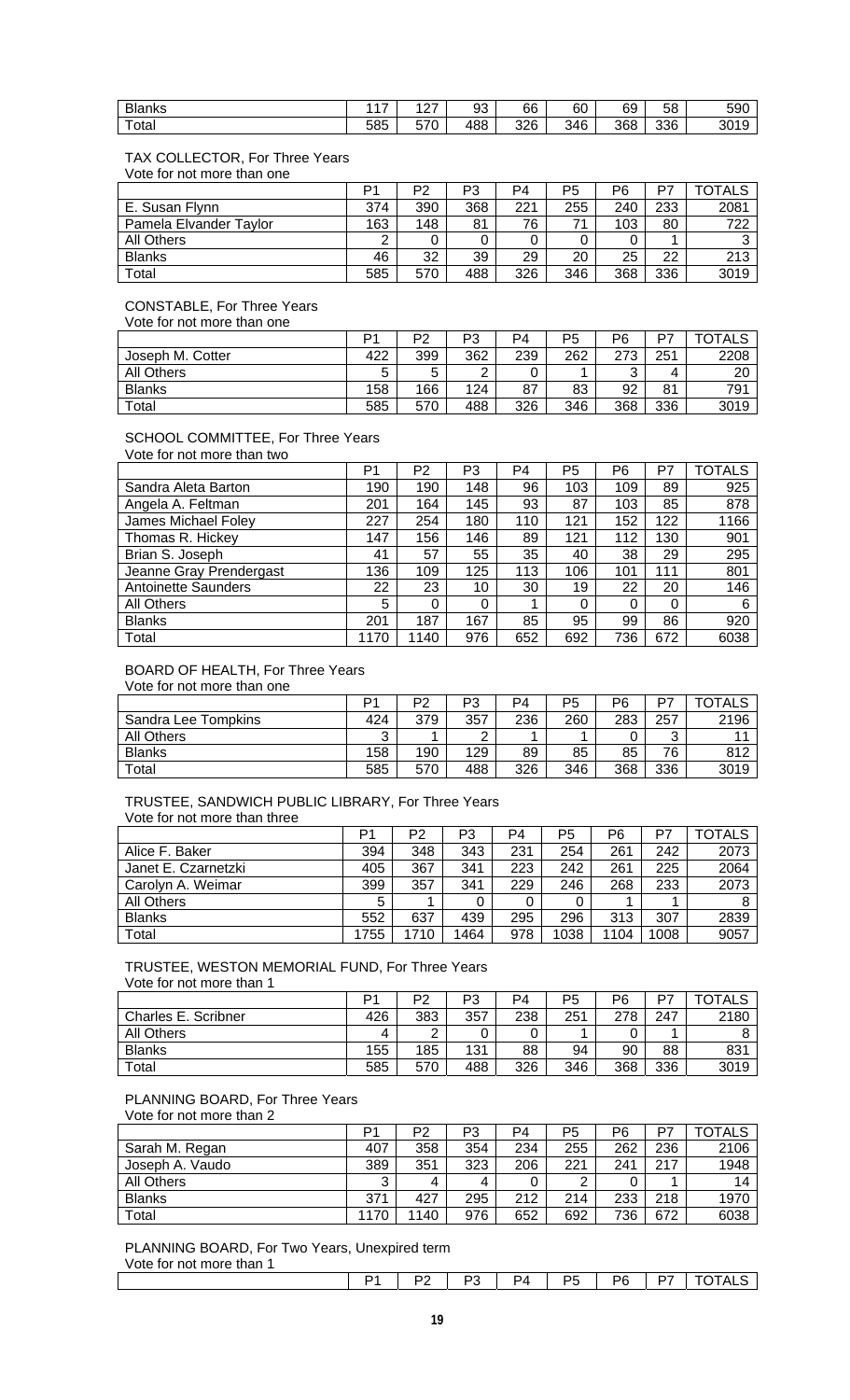| <b>Blanks</b> | $\overline{4}$ | $\sim$<br><u>_ 1</u> | 93  | 66  | $\sim$<br>ьυ | 69  | r o<br>. .<br>ეტ | 590  |
|---------------|----------------|----------------------|-----|-----|--------------|-----|------------------|------|
| $-$<br>⊺otai  | 585            | $-70$<br>ວ / ບ       | 488 | 326 | 346          | 368 | 336              | 3019 |

# TAX COLLECTOR, For Three Years

Vote for not more than one

|                        | P1  | P2  | P3  | P4  | P <sub>5</sub> | P6  | P7  | <b>OTALS</b> |
|------------------------|-----|-----|-----|-----|----------------|-----|-----|--------------|
| E. Susan Flynn         | 374 | 390 | 368 | 221 | 255            | 240 | 233 | 2081         |
| Pamela Elvander Taylor | 163 | 148 | 81  | 76  | 71             | 103 | 80  | 722          |
| All Others             | ົ   |     |     |     |                |     |     |              |
| <b>Blanks</b>          | 46  | 32  | 39  | 29  | 20             | 25  | 22  | 213          |
| Total                  | 585 | 570 | 488 | 326 | 346            | 368 | 336 | 3019         |

# CONSTABLE, For Three Years

Vote for not more than one

|                        | D <sub>1</sub> | ∩ים | רם<br>دت   | P4  | P <sub>5</sub> | P <sub>6</sub>  | D7  | <b>TALS</b><br>ا ل |
|------------------------|----------------|-----|------------|-----|----------------|-----------------|-----|--------------------|
| Joseph M. Cotter       | 422            | 399 | 362        | 239 | 262            | 272<br>Ñ<br>ا ے | 251 | 2208               |
| <b>All Others</b>      | ∽              |     | $\sqrt{2}$ |     |                | ⌒<br>ັ          | 4   | 20                 |
| <b>Blanks</b>          | 158            | 166 | 124        | 87  | 83             | 92              | 81  | 791                |
| $\tau$ <sub>otal</sub> | 585            | 570 | 488        | 326 | 346            | 368             | 336 | 3019               |

# SCHOOL COMMITTEE, For Three Years

Vote for not more than two

|                            | P <sub>1</sub> | P2   | P3  | P4  | P <sub>5</sub> | P6  | P7  | <b>TOTALS</b> |
|----------------------------|----------------|------|-----|-----|----------------|-----|-----|---------------|
| Sandra Aleta Barton        | 190            | 190  | 148 | 96  | 103            | 109 | 89  | 925           |
| Angela A. Feltman          | 201            | 164  | 145 | 93  | 87             | 103 | 85  | 878           |
| James Michael Foley        | 227            | 254  | 180 | 110 | 121            | 152 | 122 | 1166          |
| Thomas R. Hickey           | 147            | 156  | 146 | 89  | 121            | 112 | 130 | 901           |
| Brian S. Joseph            | 41             | 57   | 55  | 35  | 40             | 38  | 29  | 295           |
| Jeanne Gray Prendergast    | 136            | 109  | 125 | 113 | 106            | 101 | 111 | 801           |
| <b>Antoinette Saunders</b> | 22             | 23   | 10  | 30  | 19             | 22  | 20  | 146           |
| <b>All Others</b>          | 5              | 0    | 0   |     | 0              | 0   | 0   | 6             |
| <b>Blanks</b>              | 201            | 187  | 167 | 85  | 95             | 99  | 86  | 920           |
| Total                      | 1170           | 1140 | 976 | 652 | 692            | 736 | 672 | 6038          |

# BOARD OF HEALTH, For Three Years

Vote for not more than one

|                     | D1  | DΩ  | P3  | P4  | P5  | P6  | D7  | TOTALS |
|---------------------|-----|-----|-----|-----|-----|-----|-----|--------|
| Sandra Lee Tompkins | 424 | 379 | 357 | 236 | 260 | 283 | 257 | 2196   |
| <b>All Others</b>   | ົ   |     | ◠   |     |     |     | ⌒   |        |
| <b>Blanks</b>       | 158 | 190 | 129 | 89  | 85  | 85  | 76  | 812    |
| Total               | 585 | 570 | 488 | 326 | 346 | 368 | 336 | 3019   |

### TRUSTEE, SANDWICH PUBLIC LIBRARY, For Three Years Vote for not more than three

|                     | P1   | P2   | P3   | P4  | P5   | P6   | P7   | TOTALS |
|---------------------|------|------|------|-----|------|------|------|--------|
| Alice F. Baker      | 394  | 348  | 343  | 231 | 254  | 261  | 242  | 2073   |
| Janet E. Czarnetzki | 405  | 367  | 341  | 223 | 242  | 261  | 225  | 2064   |
| Carolyn A. Weimar   | 399  | 357  | 341  | 229 | 246  | 268  | 233  | 2073   |
| All Others          | 5    |      |      | 0   |      |      |      |        |
| <b>Blanks</b>       | 552  | 637  | 439  | 295 | 296  | 313  | 307  | 2839   |
| Total               | 1755 | 1710 | 1464 | 978 | 1038 | 1104 | 1008 | 9057   |

### TRUSTEE, WESTON MEMORIAL FUND, For Three Years Vote for not more than 1

|                     | Þ٠  | P2  | מם<br>ر - | P4  | P <sub>5</sub> | P6  | D7  | `TAL১ |
|---------------------|-----|-----|-----------|-----|----------------|-----|-----|-------|
| Charles E. Scribner | 426 | 383 | 357       | 238 | 251            | 278 | 247 | 2180  |
| <b>All Others</b>   | 4   | ⌒   |           |     |                |     |     |       |
| <b>Blanks</b>       | 155 | 185 | 131       | 88  | 94             | 90  | 88  | 831   |
| Total               | 585 | 570 | 488       | 326 | 346            | 368 | 336 | 3019  |

# PLANNING BOARD, For Three Years

Vote for not more than 2

|                   | P1   | P2  | P3  | P4  | P <sub>5</sub> | P6  | P7  | TOTALS |
|-------------------|------|-----|-----|-----|----------------|-----|-----|--------|
| Sarah M. Regan    | 407  | 358 | 354 | 234 | 255            | 262 | 236 | 2106   |
| Joseph A. Vaudo   | 389  | 351 | 323 | 206 | 221            | 241 | 217 | 1948   |
| <b>All Others</b> |      | 4   |     |     | ▃              |     |     | 14     |
| <b>Blanks</b>     | 371  | 427 | 295 | 212 | 214            | 233 | 218 | 1970   |
| Total             | 1170 | 140 | 976 | 652 | 692            | 736 | 672 | 6038   |

PLANNING BOARD, For Two Years, Unexpired term

Vote for not more than 1